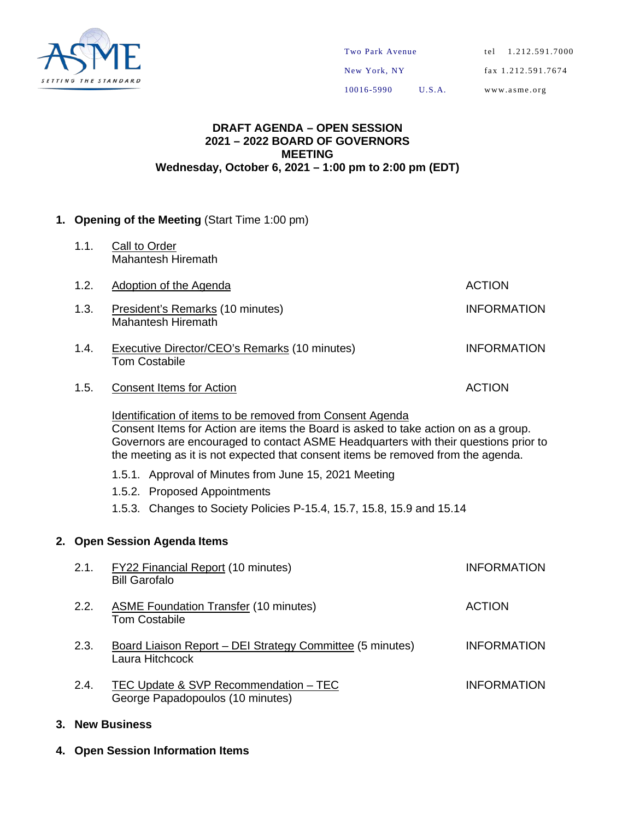

10016-5990 U.S.A.

www.asme.org

#### **DRAFT AGENDA – OPEN SESSION 2021 – 2022 BOARD OF GOVERNORS MEETING Wednesday, October 6, 2021 – 1:00 pm to 2:00 pm (EDT)**

#### **1. Opening of the Meeting** (Start Time 1:00 pm)

1.1. Call to Order Mahantesh Hiremath

| 1.2. | Adoption of the Agenda                                                       | <b>ACTION</b>      |
|------|------------------------------------------------------------------------------|--------------------|
| 1.3. | President's Remarks (10 minutes)<br>Mahantesh Hiremath                       | <b>INFORMATION</b> |
| 1.4. | <b>Executive Director/CEO's Remarks (10 minutes)</b><br><b>Tom Costabile</b> | <b>INFORMATION</b> |
| 1.5. | <b>Consent Items for Action</b>                                              | <b>ACTION</b>      |
|      | Libertification of items to be nomenced from Ochoopet America                |                    |

Identification of items to be removed from Consent Agenda Consent Items for Action are items the Board is asked to take action on as a group. Governors are encouraged to contact ASME Headquarters with their questions prior to the meeting as it is not expected that consent items be removed from the agenda.

- 1.5.1. Approval of Minutes from June 15, 2021 Meeting
- 1.5.2. Proposed Appointments
- 1.5.3. Changes to Society Policies P-15.4, 15.7, 15.8, 15.9 and 15.14

#### **2. Open Session Agenda Items**

| 2.1. | FY22 Financial Report (10 minutes)<br><b>Bill Garofalo</b>                   | <b>INFORMATION</b> |
|------|------------------------------------------------------------------------------|--------------------|
| 2.2. | <b>ASME Foundation Transfer (10 minutes)</b><br><b>Tom Costabile</b>         | <b>ACTION</b>      |
| 2.3. | Board Liaison Report – DEI Strategy Committee (5 minutes)<br>Laura Hitchcock | <b>INFORMATION</b> |
| 2.4. | TEC Update & SVP Recommendation - TEC<br>George Papadopoulos (10 minutes)    | <b>INFORMATION</b> |

#### **3. New Business**

**4. Open Session Information Items**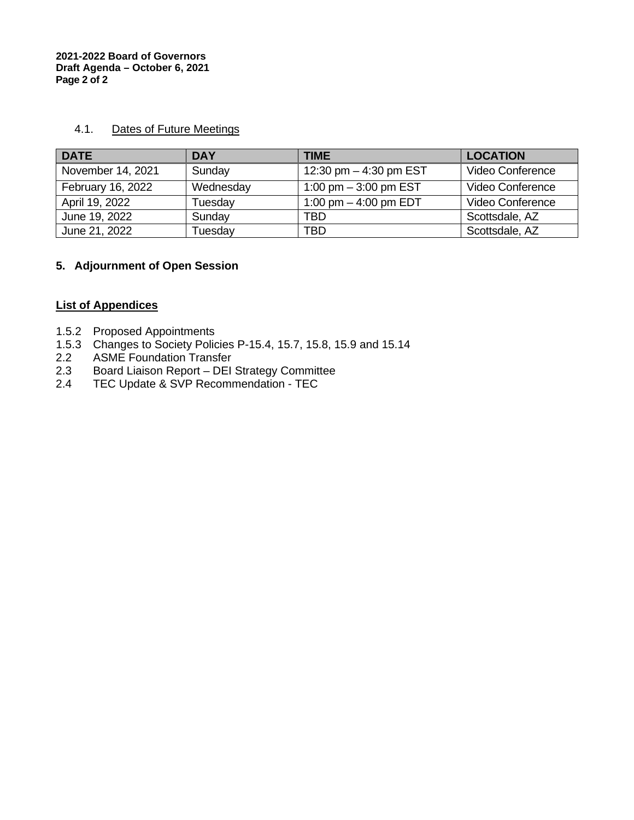#### 4.1. Dates of Future Meetings

| <b>DATE</b>       | <b>DAY</b> | <b>TIME</b>              | <b>LOCATION</b>  |
|-------------------|------------|--------------------------|------------------|
| November 14, 2021 | Sunday     | 12:30 pm $-$ 4:30 pm EST | Video Conference |
| February 16, 2022 | Wednesday  | 1:00 pm $-$ 3:00 pm EST  | Video Conference |
| April 19, 2022    | Tuesday    | 1:00 pm $-$ 4:00 pm EDT  | Video Conference |
| June 19, 2022     | Sunday     | TBD                      | Scottsdale, AZ   |
| June 21, 2022     | Tuesday    | <b>TBD</b>               | Scottsdale, AZ   |

#### **5. Adjournment of Open Session**

#### **List of Appendices**

- 1.5.2 Proposed Appointments
- 1.5.3 Changes to Society Policies P-15.4, 15.7, 15.8, 15.9 and 15.14<br>2.2 ASME Foundation Transfer
- 2.2 ASME Foundation Transfer<br>2.3 Board Liaison Report DEI
- 2.3 Board Liaison Report DEI Strategy Committee<br>2.4 TEC Update & SVP Recommendation TEC
- TEC Update & SVP Recommendation TEC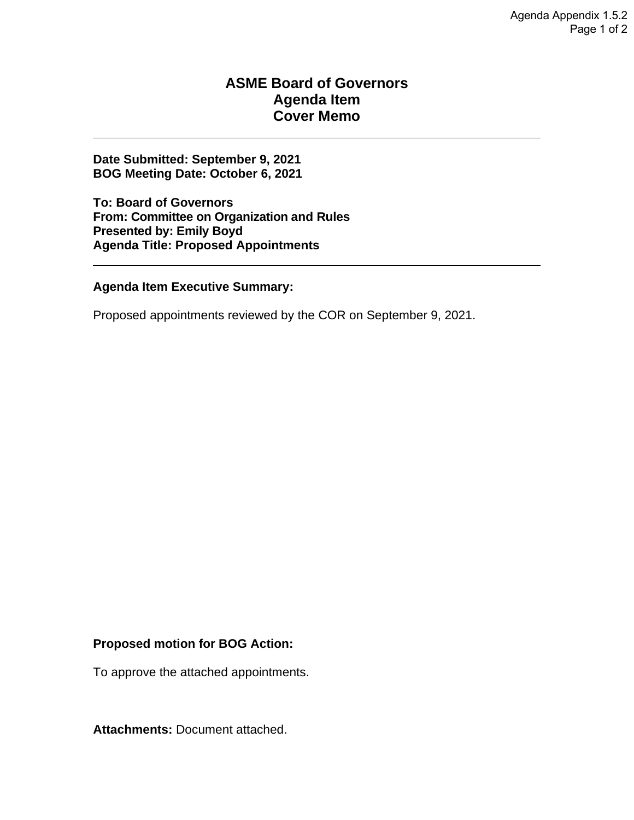#### **ASME Board of Governors Agenda Item Cover Memo**

**Date Submitted: September 9, 2021 BOG Meeting Date: October 6, 2021** 

**To: Board of Governors From: Committee on Organization and Rules Presented by: Emily Boyd Agenda Title: Proposed Appointments** 

#### **Agenda Item Executive Summary:**

Proposed appointments reviewed by the COR on September 9, 2021.

#### **Proposed motion for BOG Action:**

To approve the attached appointments.

**Attachments:** Document attached.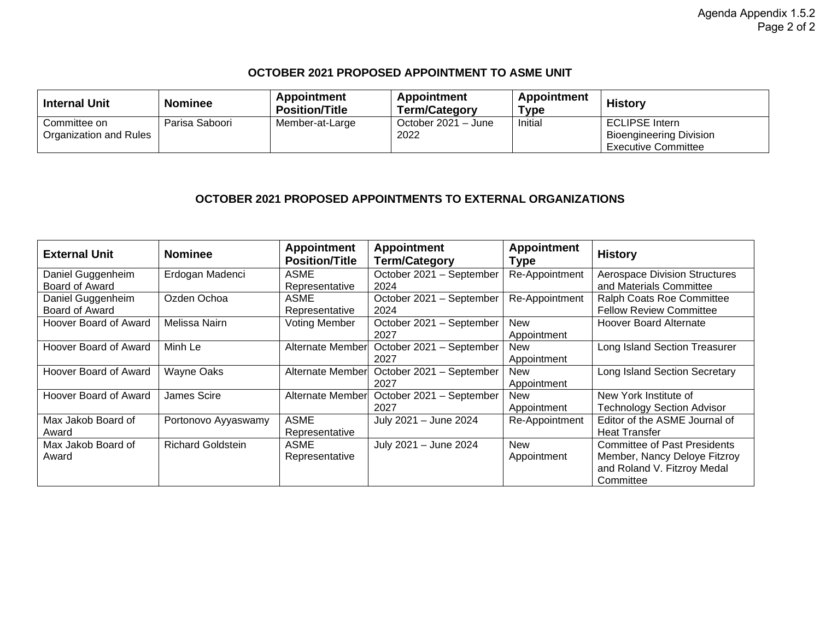#### **OCTOBER 2021 PROPOSED APPOINTMENT TO ASME UNIT**

| <b>Internal Unit</b>   | <b>Nominee</b> | Appointment<br><b>Position/Title</b> | Appointment<br><b>Term/Category</b> | Appointment<br>Type | <b>History</b>                 |
|------------------------|----------------|--------------------------------------|-------------------------------------|---------------------|--------------------------------|
| Committee on           | Parisa Saboori | Member-at-Large                      | October 2021 - June                 | Initial             | <b>ECLIPSE Intern</b>          |
| Organization and Rules |                |                                      | 2022                                |                     | <b>Bioengineering Division</b> |
|                        |                |                                      |                                     |                     | <b>Executive Committee</b>     |

#### **OCTOBER 2021 PROPOSED APPOINTMENTS TO EXTERNAL ORGANIZATIONS**

| <b>External Unit</b>  | <b>Nominee</b>           | <b>Appointment</b><br><b>Position/Title</b> | <b>Appointment</b><br><b>Term/Category</b> | <b>Appointment</b><br><b>Type</b> | <b>History</b>                       |
|-----------------------|--------------------------|---------------------------------------------|--------------------------------------------|-----------------------------------|--------------------------------------|
| Daniel Guggenheim     | Erdogan Madenci          | ASME                                        | October 2021 - September                   | Re-Appointment                    | <b>Aerospace Division Structures</b> |
| Board of Award        |                          | Representative                              | 2024                                       |                                   | and Materials Committee              |
| Daniel Guggenheim     | Ozden Ochoa              | ASME                                        | October 2021 - September                   | Re-Appointment                    | Ralph Coats Roe Committee            |
| Board of Award        |                          | Representative                              | 2024                                       |                                   | <b>Fellow Review Committee</b>       |
| Hoover Board of Award | Melissa Nairn            | <b>Voting Member</b>                        | October 2021 - September<br>2027           | <b>New</b><br>Appointment         | <b>Hoover Board Alternate</b>        |
| Hoover Board of Award | Minh Le                  | <b>Alternate Member</b>                     | October 2021 - September                   | <b>New</b>                        | Long Island Section Treasurer        |
|                       |                          |                                             | 2027                                       | Appointment                       |                                      |
| Hoover Board of Award | <b>Wayne Oaks</b>        | Alternate Member                            | October 2021 - September                   | <b>New</b>                        | Long Island Section Secretary        |
|                       |                          |                                             | 2027                                       | Appointment                       |                                      |
| Hoover Board of Award | James Scire              | <b>Alternate Member</b>                     | October 2021 - September                   | <b>New</b>                        | New York Institute of                |
|                       |                          |                                             | 2027                                       | Appointment                       | <b>Technology Section Advisor</b>    |
| Max Jakob Board of    | Portonovo Ayyaswamy      | ASME                                        | July 2021 - June 2024                      | Re-Appointment                    | Editor of the ASME Journal of        |
| Award                 |                          | Representative                              |                                            |                                   | <b>Heat Transfer</b>                 |
| Max Jakob Board of    | <b>Richard Goldstein</b> | ASME                                        | July 2021 - June 2024                      | <b>New</b>                        | <b>Committee of Past Presidents</b>  |
| Award                 |                          | Representative                              |                                            | Appointment                       | Member, Nancy Deloye Fitzroy         |
|                       |                          |                                             |                                            |                                   | and Roland V. Fitzroy Medal          |
|                       |                          |                                             |                                            |                                   | Committee                            |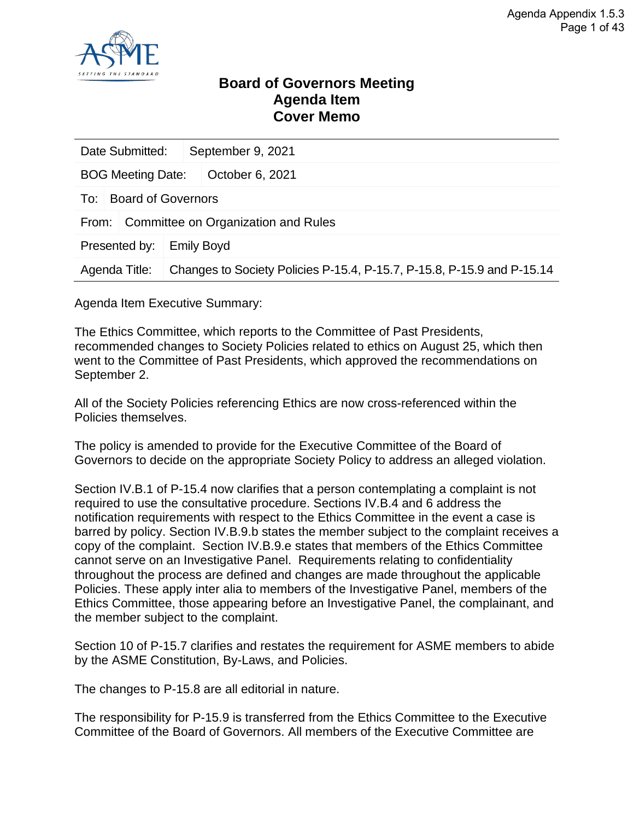

#### **Board of Governors Meeting Agenda Item Cover Memo**

| Date Submitted:<br>September 9, 2021         |                           |  |                                                                        |  |  |
|----------------------------------------------|---------------------------|--|------------------------------------------------------------------------|--|--|
| <b>BOG Meeting Date:</b>                     |                           |  | October 6, 2021                                                        |  |  |
| To:                                          | <b>Board of Governors</b> |  |                                                                        |  |  |
| Committee on Organization and Rules<br>From: |                           |  |                                                                        |  |  |
| Presented by:<br><b>Emily Boyd</b>           |                           |  |                                                                        |  |  |
| Agenda Title:                                |                           |  | Changes to Society Policies P-15.4, P-15.7, P-15.8, P-15.9 and P-15.14 |  |  |

Agenda Item Executive Summary:

The Ethics Committee, which reports to the Committee of Past Presidents, recommended changes to Society Policies related to ethics on August 25, which then went to the Committee of Past Presidents, which approved the recommendations on September 2.

All of the Society Policies referencing Ethics are now cross-referenced within the Policies themselves.

The policy is amended to provide for the Executive Committee of the Board of Governors to decide on the appropriate Society Policy to address an alleged violation.

Section IV.B.1 of P-15.4 now clarifies that a person contemplating a complaint is not required to use the consultative procedure. Sections IV.B.4 and 6 address the notification requirements with respect to the Ethics Committee in the event a case is barred by policy. Section IV.B.9.b states the member subject to the complaint receives a copy of the complaint. Section IV.B.9.e states that members of the Ethics Committee cannot serve on an Investigative Panel. Requirements relating to confidentiality throughout the process are defined and changes are made throughout the applicable Policies. These apply inter alia to members of the Investigative Panel, members of the Ethics Committee, those appearing before an Investigative Panel, the complainant, and the member subject to the complaint.

Section 10 of P-15.7 clarifies and restates the requirement for ASME members to abide by the ASME Constitution, By-Laws, and Policies.

The changes to P-15.8 are all editorial in nature.

The responsibility for P-15.9 is transferred from the Ethics Committee to the Executive Committee of the Board of Governors. All members of the Executive Committee are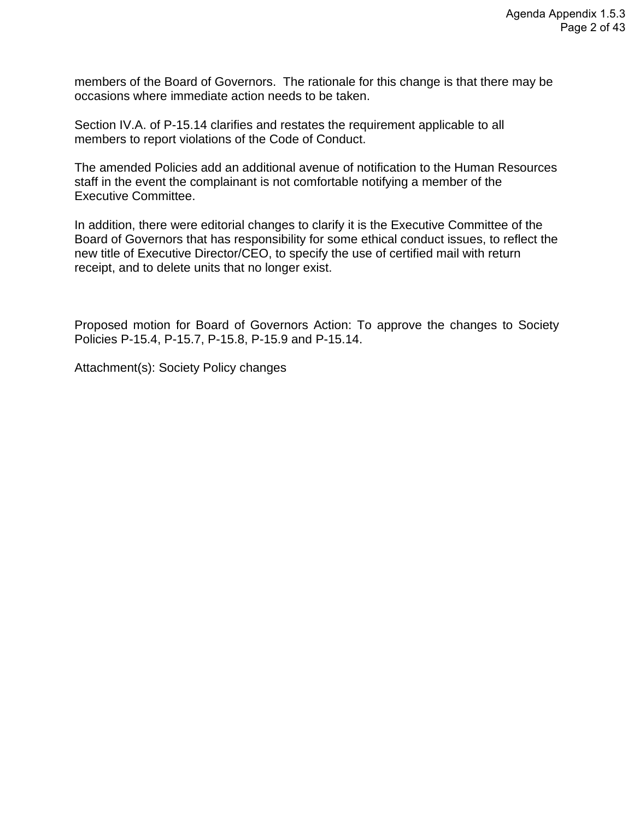members of the Board of Governors. The rationale for this change is that there may be occasions where immediate action needs to be taken.

Section IV.A. of P-15.14 clarifies and restates the requirement applicable to all members to report violations of the Code of Conduct.

The amended Policies add an additional avenue of notification to the Human Resources staff in the event the complainant is not comfortable notifying a member of the Executive Committee.

In addition, there were editorial changes to clarify it is the Executive Committee of the Board of Governors that has responsibility for some ethical conduct issues, to reflect the new title of Executive Director/CEO, to specify the use of certified mail with return receipt, and to delete units that no longer exist.

Proposed motion for Board of Governors Action: To approve the changes to Society Policies P-15.4, P-15.7, P-15.8, P-15.9 and P-15.14.

Attachment(s): Society Policy changes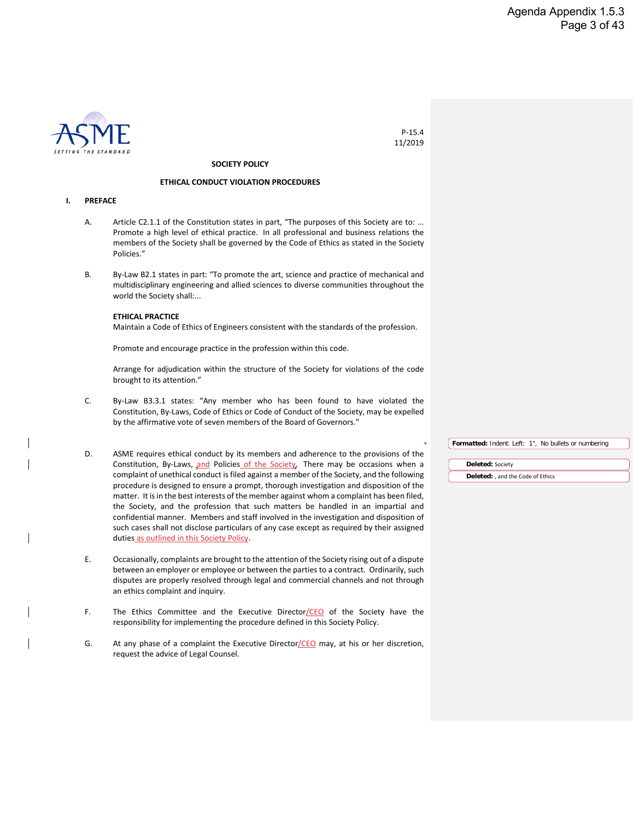

P-15.4 11/2019

#### **SOCIETY POLICY**

#### **ETHICAL CONDUCT VIOLATION PROCEDURES**

#### **I. PREFACE**

- A. Article C2.1.1 of the Constitution states in part, "The purposes of this Society are to: ... Promote a high level of ethical practice. In all professional and business relations the members of the Society shall be governed by the Code of Ethics as stated in the Society Policies."
- B. By-Law B2.1 states in part: "To promote the art, science and practice of mechanical and multidisciplinary engineering and allied sciences to diverse communities throughout the world the Society shall:...

#### **ETHICAL PRACTICE**

Maintain a Code of Ethics of Engineers consistent with the standards of the profession.

Promote and encourage practice in the profession within this code.

Arrange for adjudication within the structure of the Society for violations of the code brought to its attention."

- C. By-Law B3.3.1 states: "Any member who has been found to have violated the Constitution, By-Laws, Code of Ethics or Code of Conduct of the Society, may be expelled by the affirmative vote of seven members of the Board of Governors."
- D. ASME requires ethical conduct by its members and adherence to the provisions of the Constitution, By-Laws, and Policies of the Society. There may be occasions when a complaint of unethical conduct is filed against a member of the Society, and the following procedure is designed to ensure a prompt, thorough investigation and disposition of the matter. It is in the best interests of the member against whom a complaint has been filed, the Society, and the profession that such matters be handled in an impartial and confidential manner. Members and staff involved in the investigation and disposition of such cases shall not disclose particulars of any case except as required by their assigned duties as outlined in this Society Policy.
- E. Occasionally, complaints are brought to the attention of the Society rising out of a dispute between an employer or employee or between the parties to a contract. Ordinarily, such disputes are properly resolved through legal and commercial channels and not through an ethics complaint and inquiry.
- F. The Ethics Committee and the Executive Director/CEO of the Society have the responsibility for implementing the procedure defined in this Society Policy.
- G. At any phase of a complaint the Executive Director/CEO may, at his or her discretion, request the advice of Legal Counsel.

| <b>Formatted:</b> Indent: Left: 1", No bullets or numbering |  |
|-------------------------------------------------------------|--|
|                                                             |  |
| Deleted: Society                                            |  |

**Deleted:** , and the Code of Ethics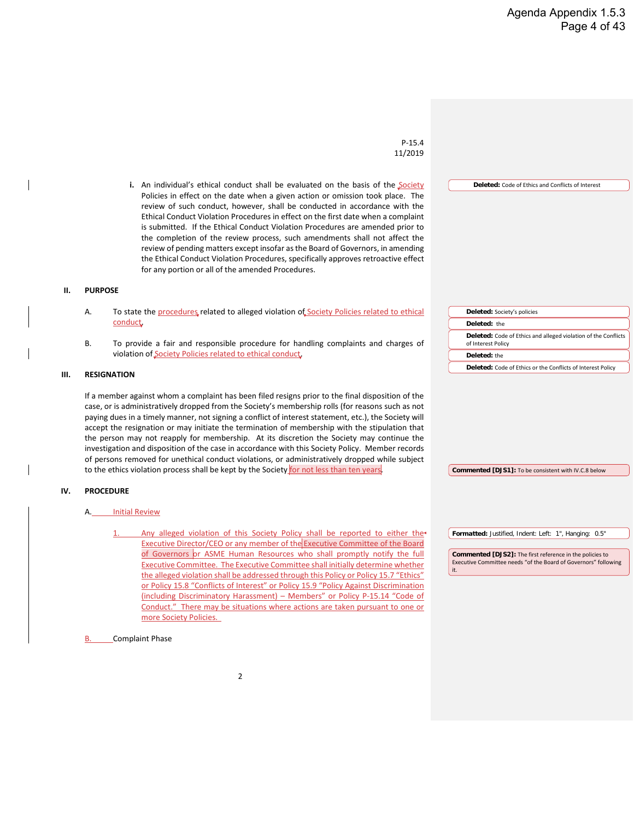**Deleted:** Code of Ethics and Conflicts of Interest

**Deleted:** Code of Ethics and alleged violation of the Conflicts

**Deleted:** Code of Ethics or the Conflicts of Interest Policy

**Deleted:** Society's policies

**Deleted:** the

of Interest Policy **Deleted:** the

P-15.4 11/2019

**i.** An individual's ethical conduct shall be evaluated on the basis of the Society Policies in effect on the date when a given action or omission took place. The review of such conduct, however, shall be conducted in accordance with the Ethical Conduct Violation Procedures in effect on the first date when a complaint is submitted. If the Ethical Conduct Violation Procedures are amended prior to the completion of the review process, such amendments shall not affect the review of pending matters except insofar as the Board of Governors, in amending the Ethical Conduct Violation Procedures, specifically approves retroactive effect for any portion or all of the amended Procedures.

#### **II. PURPOSE**

- A. To state the procedures related to alleged violation of Society Policies related to ethical **conduct**
- B. To provide a fair and responsible procedure for handling complaints and charges of violation of Society Policies related to ethical conduct.

#### **III. RESIGNATION**

If a member against whom a complaint has been filed resigns prior to the final disposition of the case, or is administratively dropped from the Society's membership rolls (for reasons such as not paying dues in a timely manner, not signing a conflict of interest statement, etc.), the Society will accept the resignation or may initiate the termination of membership with the stipulation that the person may not reapply for membership. At its discretion the Society may continue the investigation and disposition of the case in accordance with this Society Policy. Member records of persons removed for unethical conduct violations, or administratively dropped while subject to the ethics violation process shall be kept by the Society for not less than ten years

#### **IV. PROCEDURE**

#### A. Initial Review

**B.** Complaint Phase

Any alleged violation of this Society Policy shall be reported to either the Executive Director/CEO or any member of the Executive Committee of the Board of Governors or ASME Human Resources who shall promptly notify the full Executive Committee. The Executive Committee shall initially determine whether the alleged violation shall be addressed through this Policy or Policy 15.7 "Ethics" or Policy 15.8 "Conflicts of Interest" or Policy 15.9 "Policy Against Discrimination (including Discriminatory Harassment) – Members" or Policy P-15.14 "Code of Conduct." There may be situations where actions are taken pursuant to one or more Society Policies.

**Formatted:** Justified, Indent: Left: 1", Hanging: 0.5"

**Commented [DJS1]:** To be consistent with IV.C.8 below

**Commented [DJS2]:** The first reference in the policies to Executive Committee needs "of the Board of Governors" following it.

#### $\overline{\phantom{0}}$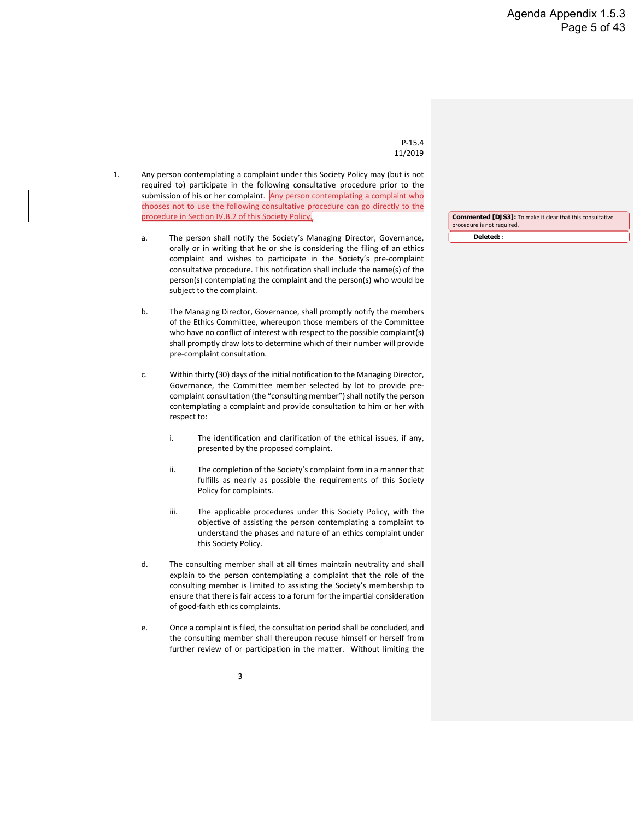#### P-15.4 11/2019

- 1. Any person contemplating a complaint under this Society Policy may (but is not required to) participate in the following consultative procedure prior to the submission of his or her complaint. Any person contemplating a complaint who chooses not to use the following consultative procedure can go directly to the procedure in Section IV.B.2 of this Society Policy.
	- a. The person shall notify the Society's Managing Director, Governance, orally or in writing that he or she is considering the filing of an ethics complaint and wishes to participate in the Society's pre-complaint consultative procedure. This notification shall include the name(s) of the person(s) contemplating the complaint and the person(s) who would be subject to the complaint.
	- b. The Managing Director, Governance, shall promptly notify the members of the Ethics Committee, whereupon those members of the Committee who have no conflict of interest with respect to the possible complaint(s) shall promptly draw lots to determine which of their number will provide pre-complaint consultation.
	- c. Within thirty (30) days of the initial notification to the Managing Director, Governance, the Committee member selected by lot to provide precomplaint consultation (the "consulting member") shall notify the person contemplating a complaint and provide consultation to him or her with respect to:
		- i. The identification and clarification of the ethical issues, if any, presented by the proposed complaint.
		- ii. The completion of the Society's complaint form in a manner that fulfills as nearly as possible the requirements of this Society Policy for complaints.
		- iii. The applicable procedures under this Society Policy, with the objective of assisting the person contemplating a complaint to understand the phases and nature of an ethics complaint under this Society Policy.
	- d. The consulting member shall at all times maintain neutrality and shall explain to the person contemplating a complaint that the role of the consulting member is limited to assisting the Society's membership to ensure that there is fair access to a forum for the impartial consideration of good-faith ethics complaints.
	- e. Once a complaint is filed, the consultation period shall be concluded, and the consulting member shall thereupon recuse himself or herself from further review of or participation in the matter. Without limiting the

**Deleted:** : **Commented [DJS3]:** To make it clear that this consultative procedure is not required.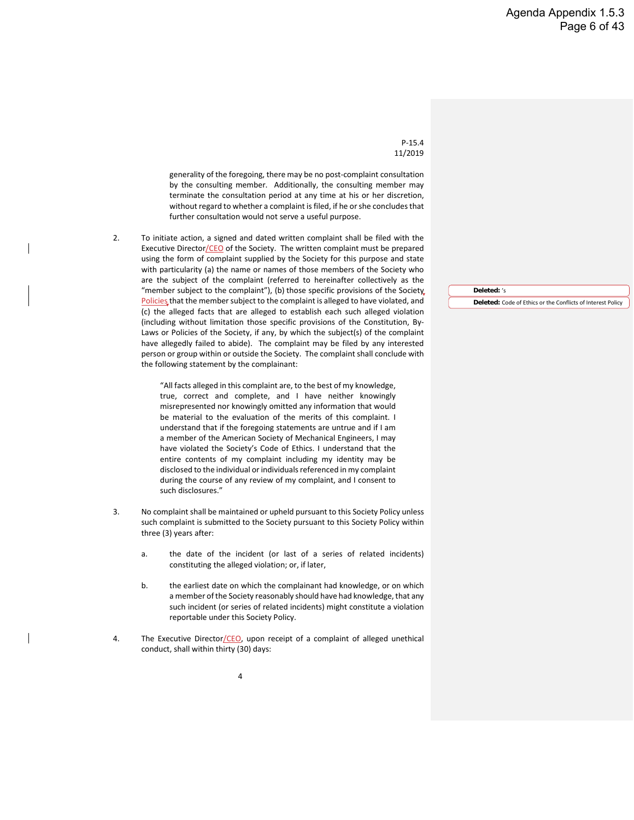P-15.4 11/2019

generality of the foregoing, there may be no post-complaint consultation by the consulting member. Additionally, the consulting member may terminate the consultation period at any time at his or her discretion, without regard to whether a complaint is filed, if he or she concludes that further consultation would not serve a useful purpose.

2. To initiate action, a signed and dated written complaint shall be filed with the Executive Director/CEO of the Society. The written complaint must be prepared using the form of complaint supplied by the Society for this purpose and state with particularity (a) the name or names of those members of the Society who are the subject of the complaint (referred to hereinafter collectively as the "member subject to the complaint"), (b) those specific provisions of the Society, Policies that the member subject to the complaint is alleged to have violated, and (c) the alleged facts that are alleged to establish each such alleged violation (including without limitation those specific provisions of the Constitution, By-Laws or Policies of the Society, if any, by which the subject(s) of the complaint have allegedly failed to abide). The complaint may be filed by any interested person or group within or outside the Society. The complaint shall conclude with the following statement by the complainant:

> "All facts alleged in this complaint are, to the best of my knowledge, true, correct and complete, and I have neither knowingly misrepresented nor knowingly omitted any information that would be material to the evaluation of the merits of this complaint. I understand that if the foregoing statements are untrue and if I am a member of the American Society of Mechanical Engineers, I may have violated the Society's Code of Ethics. I understand that the entire contents of my complaint including my identity may be disclosed to the individual or individuals referenced in my complaint during the course of any review of my complaint, and I consent to such disclosures."

- 3. No complaint shall be maintained or upheld pursuant to this Society Policy unless such complaint is submitted to the Society pursuant to this Society Policy within three (3) years after:
	- a. the date of the incident (or last of a series of related incidents) constituting the alleged violation; or, if later,
	- b. the earliest date on which the complainant had knowledge, or on which a member of the Society reasonably should have had knowledge, that any such incident (or series of related incidents) might constitute a violation reportable under this Society Policy.
- 4. The Executive Director/CEO, upon receipt of a complaint of alleged unethical conduct, shall within thirty (30) days:

**Deleted:** 's **Deleted:** Code of Ethics or the Conflicts of Interest Policy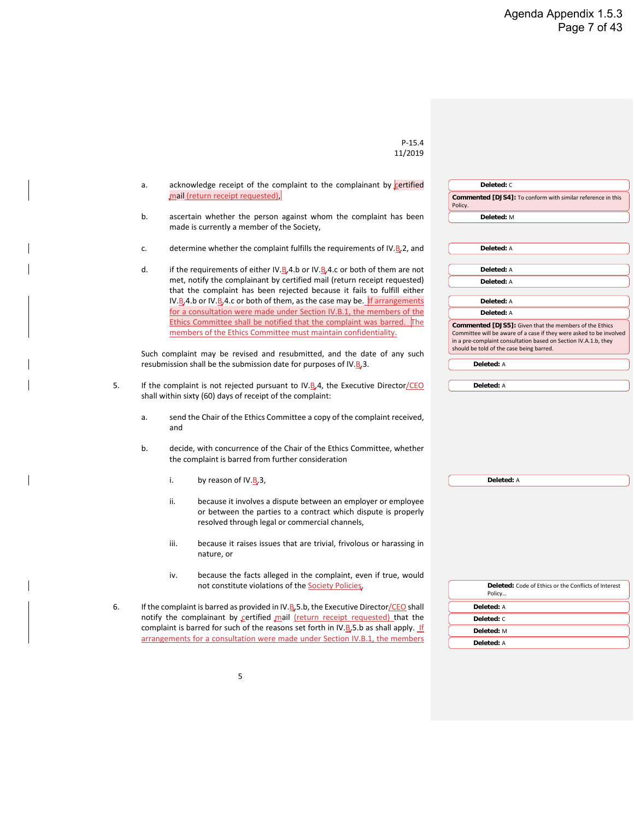| P-15.4  |
|---------|
| 11/2019 |

| a. |      | acknowledge receipt of the complaint to the complainant by certified                                                                                                              | Deleted: C                                                                                                                                                                         |
|----|------|-----------------------------------------------------------------------------------------------------------------------------------------------------------------------------------|------------------------------------------------------------------------------------------------------------------------------------------------------------------------------------|
|    |      | mail (return receipt requested),                                                                                                                                                  | Commented [DJS4]: To conform with similar reference in this<br>Policy.                                                                                                             |
| b. |      | ascertain whether the person against whom the complaint has been                                                                                                                  | Deleted: M                                                                                                                                                                         |
|    |      | made is currently a member of the Society,                                                                                                                                        |                                                                                                                                                                                    |
| c. |      | determine whether the complaint fulfills the requirements of IV.B <sub>2</sub> , and                                                                                              | Deleted: A                                                                                                                                                                         |
|    |      |                                                                                                                                                                                   |                                                                                                                                                                                    |
| d. |      | if the requirements of either IV.B.4.b or IV.B.4.c or both of them are not                                                                                                        | Deleted: A                                                                                                                                                                         |
|    |      | met, notify the complainant by certified mail (return receipt requested)<br>that the complaint has been rejected because it fails to fulfill either                               | Deleted: A                                                                                                                                                                         |
|    |      | IV.B.4.b or IV.B.4.c or both of them, as the case may be. If arrangements                                                                                                         | Deleted: A                                                                                                                                                                         |
|    |      | for a consultation were made under Section IV.B.1, the members of the                                                                                                             | Deleted: A                                                                                                                                                                         |
|    |      | Ethics Committee shall be notified that the complaint was barred.<br>The                                                                                                          | Commented [DJS5]: Given that the members of the Ethics                                                                                                                             |
|    |      | members of the Ethics Committee must maintain confidentiality.                                                                                                                    | Committee will be aware of a case if they were asked to be involved<br>in a pre-complaint consultation based on Section IV.A.1.b, they<br>should be told of the case being barred. |
|    |      | Such complaint may be revised and resubmitted, and the date of any such<br>resubmission shall be the submission date for purposes of IV.B.3.                                      | Deleted: A                                                                                                                                                                         |
|    |      |                                                                                                                                                                                   |                                                                                                                                                                                    |
|    |      | If the complaint is not rejected pursuant to IV.B.4, the Executive Director/CEO                                                                                                   | Deleted: A                                                                                                                                                                         |
|    |      | shall within sixty (60) days of receipt of the complaint:                                                                                                                         |                                                                                                                                                                                    |
| a. | and  | send the Chair of the Ethics Committee a copy of the complaint received,                                                                                                          |                                                                                                                                                                                    |
| b. |      | decide, with concurrence of the Chair of the Ethics Committee, whether<br>the complaint is barred from further consideration                                                      |                                                                                                                                                                                    |
|    | i.   | by reason of IV.B <sub>3</sub> ,                                                                                                                                                  | Deleted: A                                                                                                                                                                         |
|    | ii.  | because it involves a dispute between an employer or employee<br>or between the parties to a contract which dispute is properly<br>resolved through legal or commercial channels, |                                                                                                                                                                                    |
|    | iii. | because it raises issues that are trivial, frivolous or harassing in<br>nature, or                                                                                                |                                                                                                                                                                                    |
|    | iv.  | because the facts alleged in the complaint, even if true, would<br>not constitute violations of the Society Policies.                                                             | <b>Deleted:</b> Code of Ethics or the Conflicts of Interest<br>Policy                                                                                                              |
|    |      |                                                                                                                                                                                   |                                                                                                                                                                                    |
|    |      | If the complaint is barred as provided in IV.B, 5.b, the Executive Director/CEO shall<br>notify the complainant by certified mail (return receipt requested) that the             | Deleted: A                                                                                                                                                                         |
|    |      | complaint is barred for such of the reasons set forth in IV.B 5.b as shall apply. If                                                                                              | Deleted: C                                                                                                                                                                         |
|    |      | arrangements for a consultation were made under Section IV.B.1, the members                                                                                                       | Deleted: M                                                                                                                                                                         |
|    |      |                                                                                                                                                                                   | Deleted: A                                                                                                                                                                         |

 $\overline{\phantom{a}}$ 

 $\overline{1}$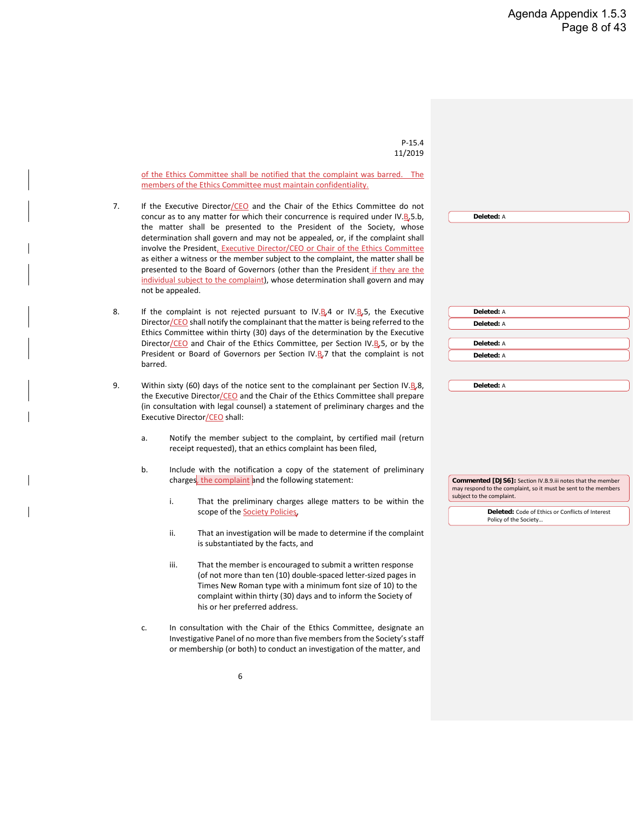P-15.4 11/2019 6 of the Ethics Committee shall be notified that the complaint was barred. The members of the Ethics Committee must maintain confidentiality. 7. If the Executive Director/CEO and the Chair of the Ethics Committee do not concur as to any matter for which their concurrence is required under IV. $B$ <sub>5</sub>5.b, the matter shall be presented to the President of the Society, whose determination shall govern and may not be appealed, or, if the complaint shall involve the President, Executive Director/CEO or Chair of the Ethics Committee as either a witness or the member subject to the complaint, the matter shall be presented to the Board of Governors (other than the President if they are the individual subject to the complaint), whose determination shall govern and may not be appealed. 8. If the complaint is not rejected pursuant to IV.B.4 or IV.B.5, the Executive Director/CEO shall notify the complainant that the matter is being referred to the Ethics Committee within thirty (30) days of the determination by the Executive Director/CEO and Chair of the Ethics Committee, per Section IV.B.5, or by the President or Board of Governors per Section IV. $B$ , 7 that the complaint is not barred. 9. Within sixty (60) days of the notice sent to the complainant per Section IV.B.8, the Executive Director/CEO and the Chair of the Ethics Committee shall prepare (in consultation with legal counsel) a statement of preliminary charges and the Executive Director/CEO shall: a. Notify the member subject to the complaint, by certified mail (return receipt requested), that an ethics complaint has been filed, b. Include with the notification a copy of the statement of preliminary charges, the complaint and the following statement: i. That the preliminary charges allege matters to be within the scope of the **Society Policies** ii. That an investigation will be made to determine if the complaint is substantiated by the facts, and iii. That the member is encouraged to submit a written response (of not more than ten (10) double-spaced letter-sized pages in Times New Roman type with a minimum font size of 10) to the complaint within thirty (30) days and to inform the Society of his or her preferred address. c. In consultation with the Chair of the Ethics Committee, designate an Investigative Panel of no more than five members from the Society's staff or membership (or both) to conduct an investigation of the matter, and **Deleted:** A **Deleted:** A **Deleted:** A **Deleted:** A **Deleted:** A **Deleted:** A **Commented [DJS6]:** Section IV.B.9.iii notes that the member may respond to the complaint, so it must be sent to the members subject to the complaint. **Deleted:** Code of Ethics or Conflicts of Interest Policy of the Society…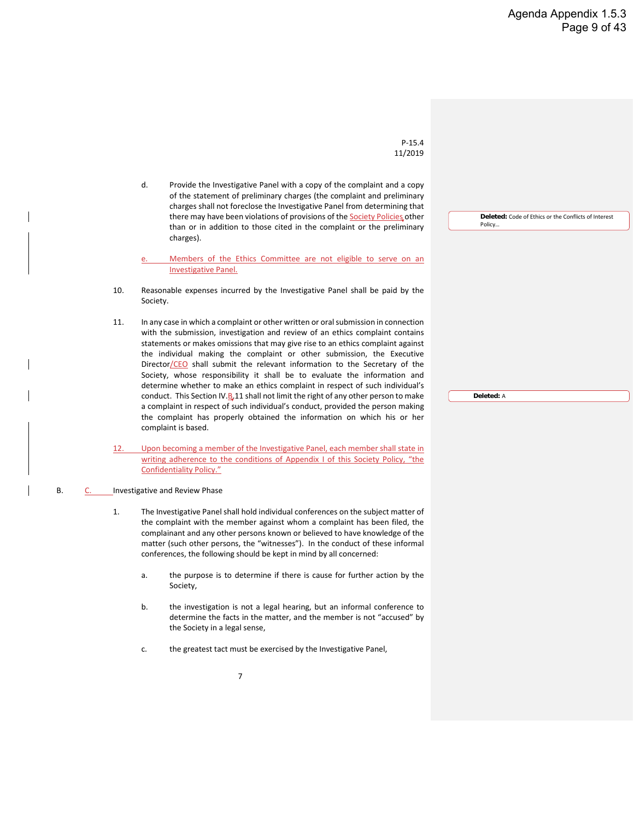**Deleted:** Code of Ethics or the Conflicts of Interest

P-15.4 11/2019

d. Provide the Investigative Panel with a copy of the complaint and a copy of the statement of preliminary charges (the complaint and preliminary charges shall not foreclose the Investigative Panel from determining that there may have been violations of provisions of the **Society Policies** other than or in addition to those cited in the complaint or the preliminary charges).

Members of the Ethics Committee are not eligible to serve on an Investigative Panel.

- 10. Reasonable expenses incurred by the Investigative Panel shall be paid by the Society.
- 11. In any case in which a complaint or other written or oral submission in connection with the submission, investigation and review of an ethics complaint contains statements or makes omissions that may give rise to an ethics complaint against the individual making the complaint or other submission, the Executive Director/CEO shall submit the relevant information to the Secretary of the Society, whose responsibility it shall be to evaluate the information and determine whether to make an ethics complaint in respect of such individual's conduct. This Section IV. $B<sub>n</sub>11$  shall not limit the right of any other person to make a complaint in respect of such individual's conduct, provided the person making the complaint has properly obtained the information on which his or her complaint is based.
- 12. Upon becoming a member of the Investigative Panel, each member shall state in writing adherence to the conditions of Appendix I of this Society Policy, "the Confidentiality Policy."

#### B. C. Investigative and Review Phase

- 1. The Investigative Panel shall hold individual conferences on the subject matter of the complaint with the member against whom a complaint has been filed, the complainant and any other persons known or believed to have knowledge of the matter (such other persons, the "witnesses"). In the conduct of these informal conferences, the following should be kept in mind by all concerned:
	- a. the purpose is to determine if there is cause for further action by the Society,
	- b. the investigation is not a legal hearing, but an informal conference to determine the facts in the matter, and the member is not "accused" by the Society in a legal sense,
	- c. the greatest tact must be exercised by the Investigative Panel,

**Deleted:** A

Policy…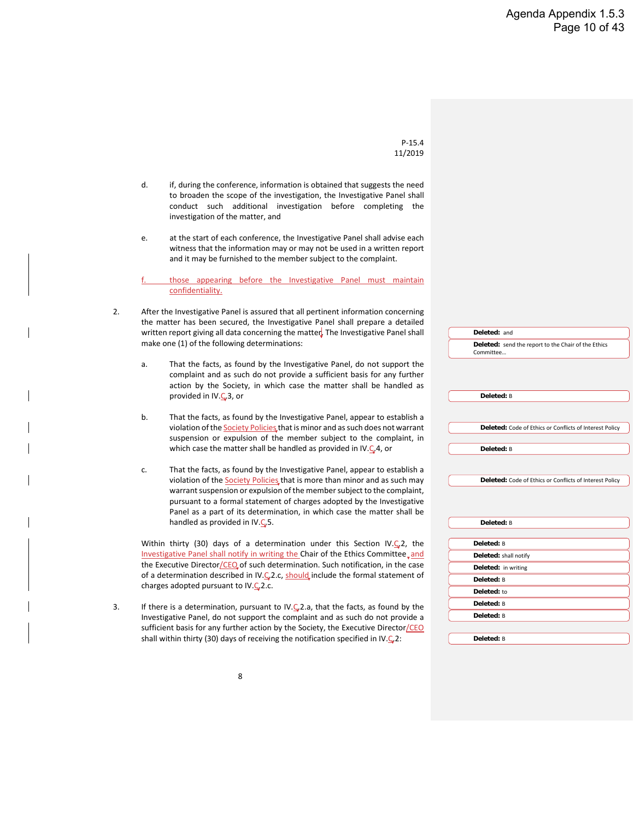d. if, during the conference, information is obtained that suggests the need to broaden the scope of the investigation, the Investigative Panel shall conduct such additional investigation before completing the investigation of the matter, and e. at the start of each conference, the Investigative Panel shall advise each witness that the information may or may not be used in a written report and it may be furnished to the member subject to the complaint. those appearing before the Investigative Panel must maintain confidentiality. 2. After the Investigative Panel is assured that all pertinent information concerning the matter has been secured, the Investigative Panel shall prepare a detailed written report giving all data concerning the matter. The Investigative Panel shall make one (1) of the following determinations: a. That the facts, as found by the Investigative Panel, do not support the complaint and as such do not provide a sufficient basis for any further action by the Society, in which case the matter shall be handled as provided in IV.C.3, or b. That the facts, as found by the Investigative Panel, appear to establish a violation of the **Society Policies** that is minor and as such does not warrant suspension or expulsion of the member subject to the complaint, in which case the matter shall be handled as provided in IV.C.4, or c. That the facts, as found by the Investigative Panel, appear to establish a violation of the **Society Policies** that is more than minor and as such may warrant suspension or expulsion of the member subject to the complaint, pursuant to a formal statement of charges adopted by the Investigative Panel as a part of its determination, in which case the matter shall be handled as provided in IV. $C$ <sub>5</sub>. Within thirty (30) days of a determination under this Section IV.C<sub>2</sub>, the Investigative Panel shall notify in writing the Chair of the Ethics Committee, and the Executive Director/CEO of such determination. Such notification, in the case of a determination described in IV.C<sub>2</sub>2.c, should include the formal statement of charges adopted pursuant to IV. $C<sub>2</sub>$ 2.c. 3. If there is a determination, pursuant to IV. $C<sub>4</sub>$ 2.a, that the facts, as found by the Investigative Panel, do not support the complaint and as such do not provide a sufficient basis for any further action by the Society, the Executive Director/CEO shall within thirty (30) days of receiving the notification specified in IV. $\mathbf{\mathcal{C}}$ , 2: **Deleted:** and **Deleted:** send the report to the Chair of the Ethics Committee… **Deleted:** B **Deleted:** Code of Ethics or Conflicts of Interest Policy **Deleted:** B **Deleted:** Code of Ethics or Conflicts of Interest Policy **Deleted:** B **Deleted:** B **Deleted:** shall notify **Deleted:** in writing **Deleted:** B **Deleted:** to **Deleted:** B **Deleted:** B **Deleted:** B

P-15.4 11/2019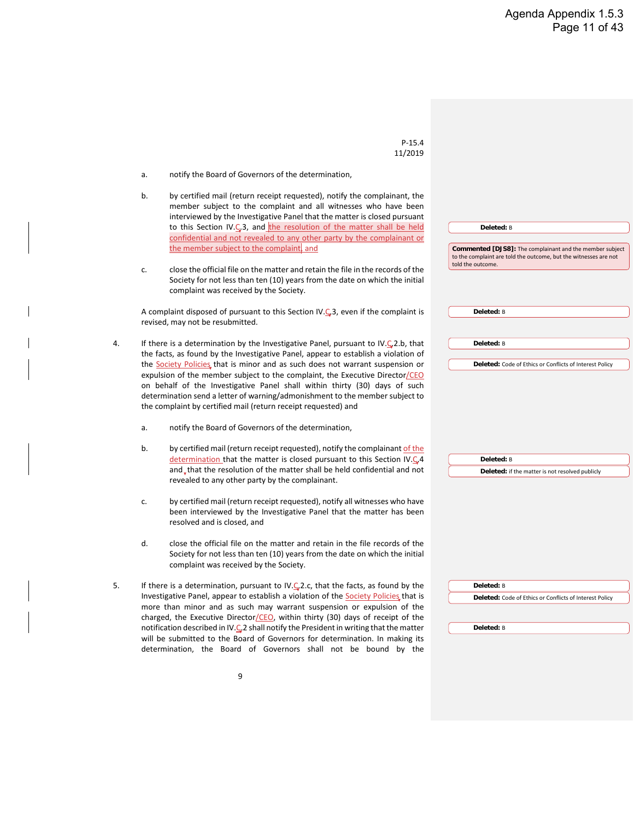P-15.4 11/2019 a. notify the Board of Governors of the determination, b. by certified mail (return receipt requested), notify the complainant, the member subject to the complaint and all witnesses who have been interviewed by the Investigative Panel that the matter is closed pursuant to this Section IV. $\frac{1}{2}$ , and the resolution of the matter shall be held confidential and not revealed to any other party by the complainant or the member subject to the complaint, and c. close the official file on the matter and retain the file in the records of the Society for not less than ten (10) years from the date on which the initial complaint was received by the Society. A complaint disposed of pursuant to this Section IV.C<sub>3</sub>, even if the complaint is revised, may not be resubmitted. 4. If there is a determination by the Investigative Panel, pursuant to IV. $\mathsf{C}_2$ 2.b, that the facts, as found by the Investigative Panel, appear to establish a violation of the Society Policies, that is minor and as such does not warrant suspension or expulsion of the member subject to the complaint, the Executive Director/CEO on behalf of the Investigative Panel shall within thirty (30) days of such determination send a letter of warning/admonishment to the member subject to the complaint by certified mail (return receipt requested) and a. notify the Board of Governors of the determination, b. by certified mail (return receipt requested), notify the complainant of the determination that the matter is closed pursuant to this Section IV.C.4 and that the resolution of the matter shall be held confidential and not revealed to any other party by the complainant. c. by certified mail (return receipt requested), notify all witnesses who have been interviewed by the Investigative Panel that the matter has been resolved and is closed, and d. close the official file on the matter and retain in the file records of the Society for not less than ten (10) years from the date on which the initial complaint was received by the Society. 5. If there is a determination, pursuant to IV. $C<sub>2</sub>$ 2.c, that the facts, as found by the Investigative Panel, appear to establish a violation of the Society Policies that is more than minor and as such may warrant suspension or expulsion of the charged, the Executive Director/CEO, within thirty (30) days of receipt of the notification described in IV. $C<sub>e</sub>$ 2 shall notify the President in writing that the matter will be submitted to the Board of Governors for determination. In making its determination, the Board of Governors shall not be bound by the **Deleted:** B **Commented [DJS8]:** The complainant and the member subject to the complaint are told the outcome, but the witnesses are not told the outcome. **Deleted:** B **Deleted:** B **Deleted:** Code of Ethics or Conflicts of Interest Policy **Deleted:** B **Deleted:** if the matter is not resolved publicly **Deleted:** B **Deleted:** Code of Ethics or Conflicts of Interest Policy **Deleted:** B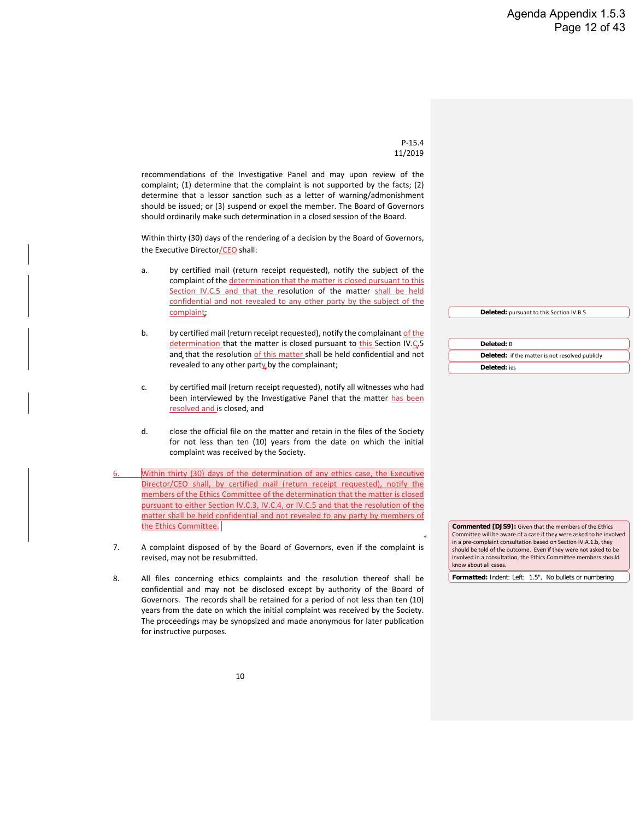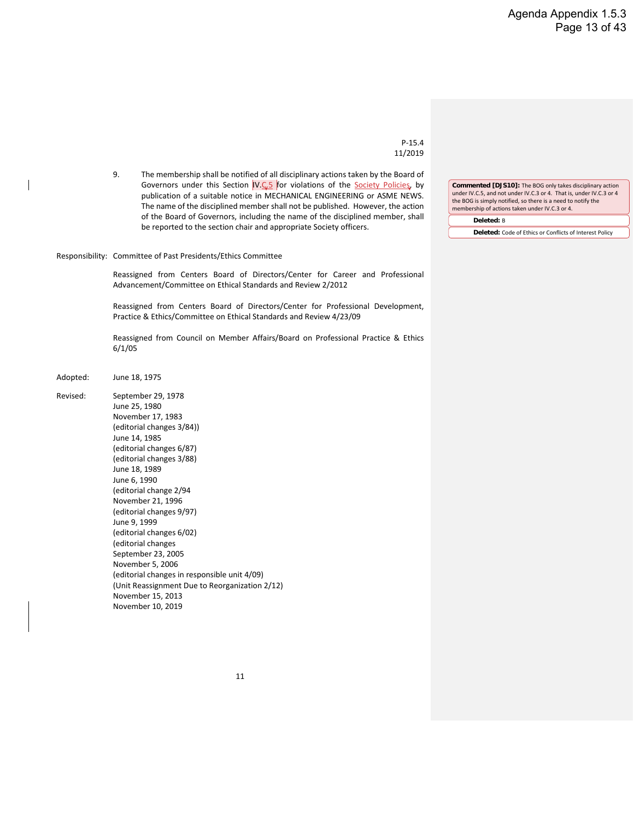P-15.4 11/2019

9. The membership shall be notified of all disciplinary actions taken by the Board of Governors under this Section IV.C.5 for violations of the Society Policies, by publication of a suitable notice in MECHANICAL ENGINEERING or ASME NEWS. The name of the disciplined member shall not be published. However, the action of the Board of Governors, including the name of the disciplined member, shall be reported to the section chair and appropriate Society officers.

Responsibility: Committee of Past Presidents/Ethics Committee

Reassigned from Centers Board of Directors/Center for Career and Professional Advancement/Committee on Ethical Standards and Review 2/2012

Reassigned from Centers Board of Directors/Center for Professional Development, Practice & Ethics/Committee on Ethical Standards and Review 4/23/09

Reassigned from Council on Member Affairs/Board on Professional Practice & Ethics 6/1/05

- Adopted: June 18, 1975
- Revised: September 29, 1978 June 25, 1980 November 17, 1983 (editorial changes 3/84)) June 14, 1985 (editorial changes 6/87) (editorial changes 3/88) June 18, 1989 June 6, 1990 (editorial change 2/94 November 21, 1996 (editorial changes 9/97) June 9, 1999 (editorial changes 6/02) (editorial changes September 23, 2005 November 5, 2006 (editorial changes in responsible unit 4/09) (Unit Reassignment Due to Reorganization 2/12) November 15, 2013 November 10, 2019

**Commented [DJS10]:** The BOG only takes disciplinary action under IV.C.5, and not under IV.C.3 or 4. That is, under IV.C.3 or 4 the BOG is simply notified, so there is a need to notify the membership of actions taken under IV.C.3 or 4.

**Deleted:** B

**Deleted:** Code of Ethics or Conflicts of Interest Policy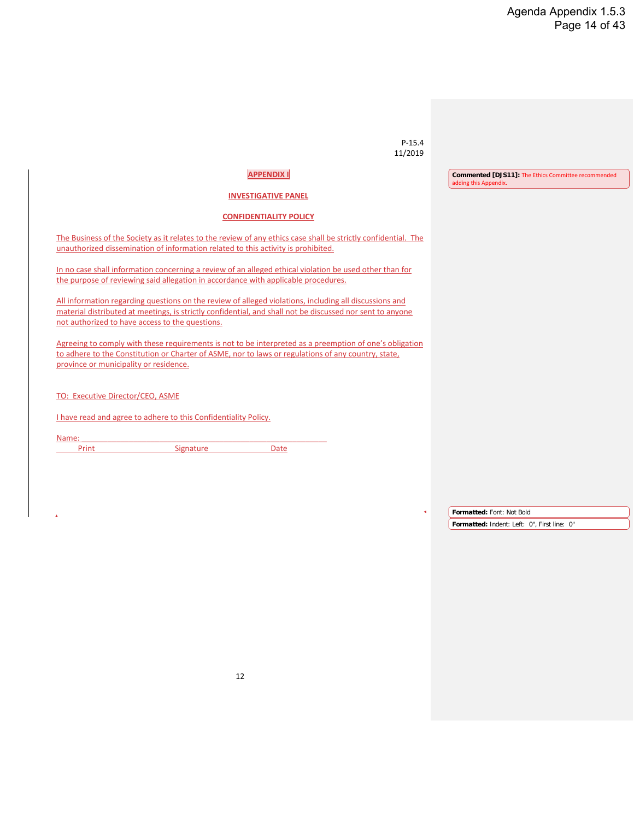#### Agenda Appendix 1.5.3 Page 14 of 43

| $P-15.4$<br>11/2019                                                                                                                                                                                                                                                    |                                                                                     |
|------------------------------------------------------------------------------------------------------------------------------------------------------------------------------------------------------------------------------------------------------------------------|-------------------------------------------------------------------------------------|
| <b>APPENDIX I</b>                                                                                                                                                                                                                                                      | <b>Commented [DJS11]:</b> The Ethics Committee recommended<br>adding this Appendix. |
| <b>INVESTIGATIVE PANEL</b>                                                                                                                                                                                                                                             |                                                                                     |
| <b>CONFIDENTIALITY POLICY</b>                                                                                                                                                                                                                                          |                                                                                     |
| The Business of the Society as it relates to the review of any ethics case shall be strictly confidential. The<br>unauthorized dissemination of information related to this activity is prohibited.                                                                    |                                                                                     |
| In no case shall information concerning a review of an alleged ethical violation be used other than for<br>the purpose of reviewing said allegation in accordance with applicable procedures.                                                                          |                                                                                     |
| All information regarding questions on the review of alleged violations, including all discussions and<br>material distributed at meetings, is strictly confidential, and shall not be discussed nor sent to anyone<br>not authorized to have access to the questions. |                                                                                     |
| Agreeing to comply with these requirements is not to be interpreted as a preemption of one's obligation<br>to adhere to the Constitution or Charter of ASME, nor to laws or regulations of any country, state,<br>province or municipality or residence.               |                                                                                     |
| TO: Executive Director/CEO, ASME                                                                                                                                                                                                                                       |                                                                                     |
| I have read and agree to adhere to this Confidentiality Policy.                                                                                                                                                                                                        |                                                                                     |
| Name:<br>Print<br>Signature<br><b>Date</b>                                                                                                                                                                                                                             |                                                                                     |
|                                                                                                                                                                                                                                                                        |                                                                                     |
|                                                                                                                                                                                                                                                                        | Formatted: Font: Not Bold                                                           |
|                                                                                                                                                                                                                                                                        | Formatted: Indent: Left: 0", First line: 0"                                         |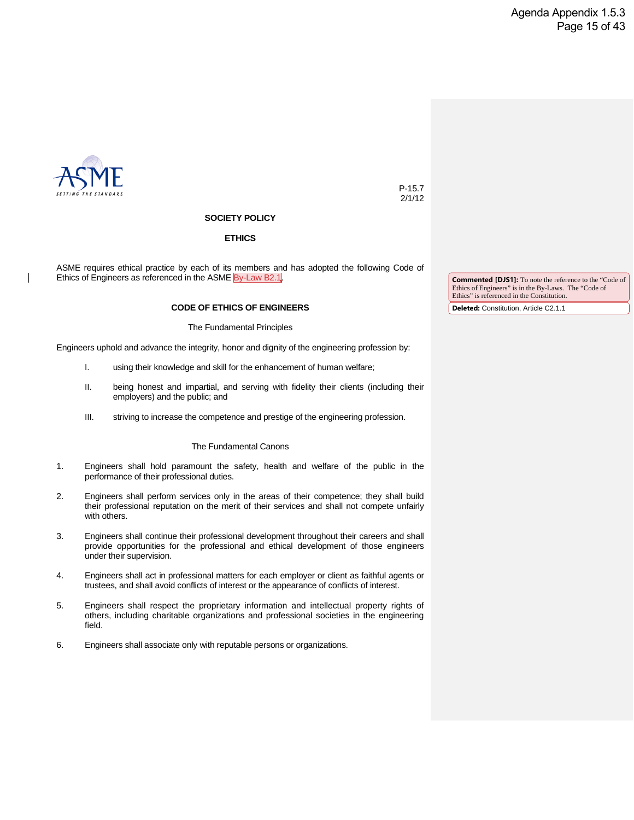

P-15.7 2/1/12

#### **SOCIETY POLICY**

#### **ETHICS**

ASME requires ethical practice by each of its members and has adopted the following Code of Ethics of Engineers as referenced in the ASME By-Law B2.1.

#### **CODE OF ETHICS OF ENGINEERS**

#### The Fundamental Principles

Engineers uphold and advance the integrity, honor and dignity of the engineering profession by:

- I. using their knowledge and skill for the enhancement of human welfare;
- II. being honest and impartial, and serving with fidelity their clients (including their employers) and the public; and
- III. striving to increase the competence and prestige of the engineering profession.

#### The Fundamental Canons

- 1. Engineers shall hold paramount the safety, health and welfare of the public in the performance of their professional duties.
- 2. Engineers shall perform services only in the areas of their competence; they shall build their professional reputation on the merit of their services and shall not compete unfairly with others.
- 3. Engineers shall continue their professional development throughout their careers and shall provide opportunities for the professional and ethical development of those engineers under their supervision.
- 4. Engineers shall act in professional matters for each employer or client as faithful agents or trustees, and shall avoid conflicts of interest or the appearance of conflicts of interest.
- 5. Engineers shall respect the proprietary information and intellectual property rights of others, including charitable organizations and professional societies in the engineering field.
- 6. Engineers shall associate only with reputable persons or organizations.

**Commented [DJS1]:** To note the reference to the "Code of Ethics of Engineers" is in the By-Laws. The "Code of Ethics" is referenced in the Constitution.

**Deleted:** Constitution, Article C2.1.1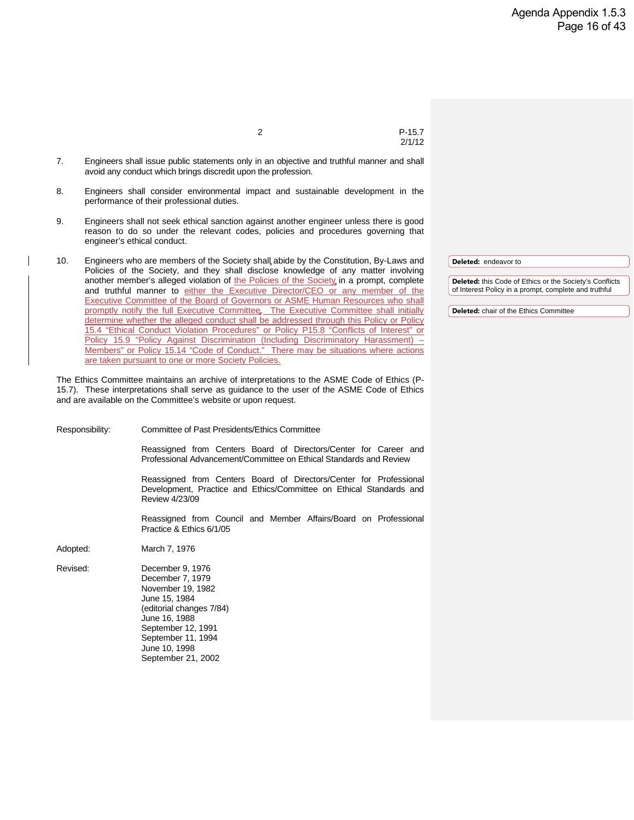2 P-15.7

2/1/12

- 7. Engineers shall issue public statements only in an objective and truthful manner and shall avoid any conduct which brings discredit upon the profession.
- 8. Engineers shall consider environmental impact and sustainable development in the performance of their professional duties.
- 9. Engineers shall not seek ethical sanction against another engineer unless there is good reason to do so under the relevant codes, policies and procedures governing that engineer's ethical conduct.
- 10. Engineers who are members of the Society shall abide by the Constitution, By-Laws and Policies of the Society, and they shall disclose knowledge of any matter involving another member's alleged violation of the Policies of the Society in a prompt, complete and truthful manner to either the Executive Director/CEO or any member of the Executive Committee of the Board of Governors or ASME Human Resources who shall promptly notify the full Executive Committee. The Executive Committee shall initially determine whether the alleged conduct shall be addressed through this Policy or Policy 15.4 "Ethical Conduct Violation Procedures" or Policy P15.8 "Conflicts of Interest" or Policy 15.9 "Policy Against Discrimination (Including Discriminatory Harassment) -Members" or Policy 15.14 "Code of Conduct." There may be situations where actions are taken pursuant to one or more Society Policies.

The Ethics Committee maintains an archive of interpretations to the ASME Code of Ethics (P-15.7). These interpretations shall serve as guidance to the user of the ASME Code of Ethics and are available on the Committee's website or upon request.

Responsibility: Committee of Past Presidents/Ethics Committee

Reassigned from Centers Board of Directors/Center for Career and Professional Advancement/Committee on Ethical Standards and Review

Reassigned from Centers Board of Directors/Center for Professional Development, Practice and Ethics/Committee on Ethical Standards and Review 4/23/09

Reassigned from Council and Member Affairs/Board on Professional Practice & Ethics 6/1/05

Adopted: March 7, 1976

Revised: December 9, 1976 December 7, 1979 November 19, 1982 June 15, 1984 (editorial changes 7/84) June 16, 1988 September 12, 1991 September 11, 1994 June 10, 1998 September 21, 2002

**Deleted:** endeavor to

**Deleted:** this Code of Ethics or the Society's Conflicts of Interest Policy in a prompt, complete and truthful

**Deleted:** chair of the Ethics Committee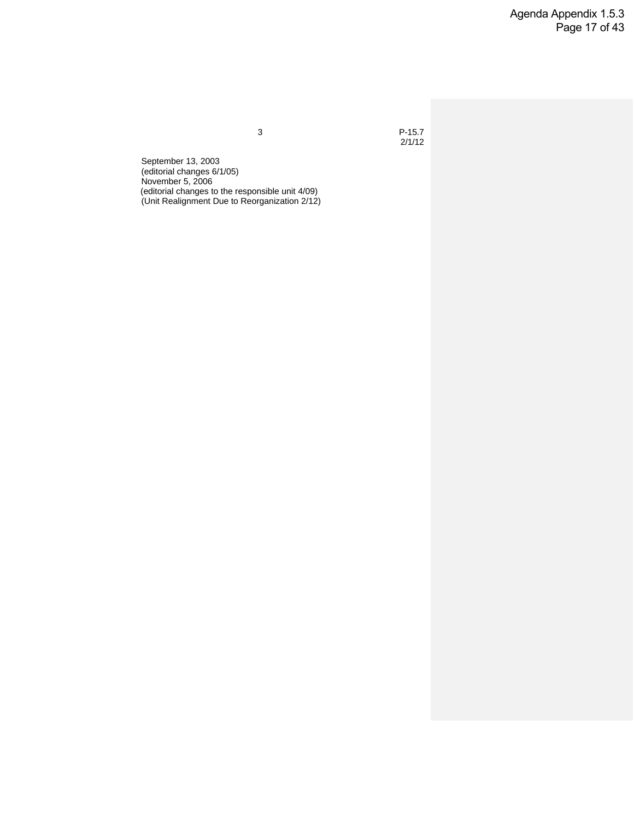Agenda Appendix 1.5.3 Page 17 of 43

3 P-15.7  $2/1/12$ 

September 13, 2003 (editorial changes 6/1/05) November 5, 2006 (editorial changes to the responsible unit 4/09) (Unit Realignment Due to Reorganization 2/12)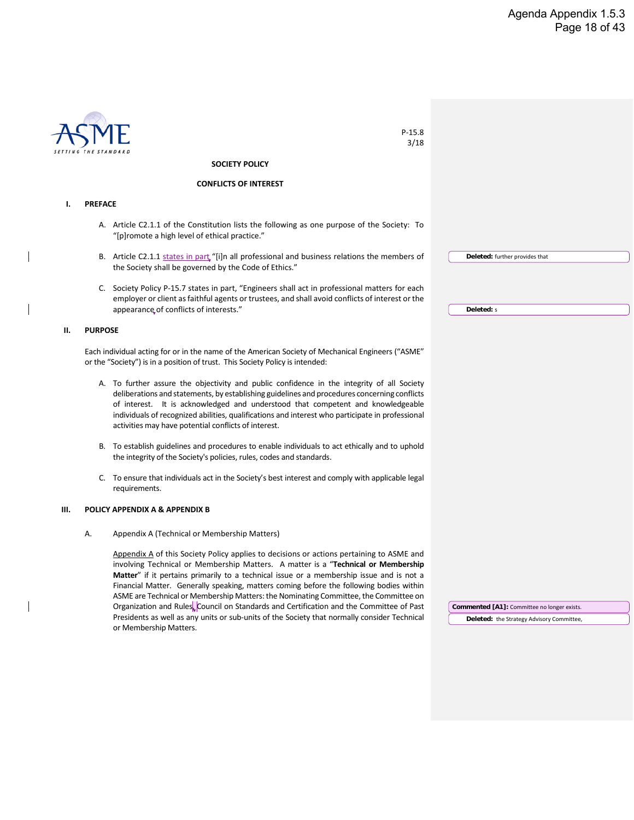|    |                | $P-15.8$                                                                                                                                                                                                                                                                                                                                                                                                                                                             |                                             |
|----|----------------|----------------------------------------------------------------------------------------------------------------------------------------------------------------------------------------------------------------------------------------------------------------------------------------------------------------------------------------------------------------------------------------------------------------------------------------------------------------------|---------------------------------------------|
|    |                | 3/18                                                                                                                                                                                                                                                                                                                                                                                                                                                                 |                                             |
|    |                | <b>SOCIETY POLICY</b>                                                                                                                                                                                                                                                                                                                                                                                                                                                |                                             |
|    |                | <b>CONFLICTS OF INTEREST</b>                                                                                                                                                                                                                                                                                                                                                                                                                                         |                                             |
| Ι. | <b>PREFACE</b> |                                                                                                                                                                                                                                                                                                                                                                                                                                                                      |                                             |
|    |                | A. Article C2.1.1 of the Constitution lists the following as one purpose of the Society: To<br>"[p]romote a high level of ethical practice."                                                                                                                                                                                                                                                                                                                         |                                             |
|    |                | B. Article C2.1.1 states in part "[i]n all professional and business relations the members of<br>the Society shall be governed by the Code of Ethics."                                                                                                                                                                                                                                                                                                               | Deleted: further provides that              |
|    |                | C. Society Policy P-15.7 states in part, "Engineers shall act in professional matters for each<br>employer or client as faithful agents or trustees, and shall avoid conflicts of interest or the<br>appearance of conflicts of interests."                                                                                                                                                                                                                          | Deleted: s                                  |
| н. | <b>PURPOSE</b> |                                                                                                                                                                                                                                                                                                                                                                                                                                                                      |                                             |
|    |                |                                                                                                                                                                                                                                                                                                                                                                                                                                                                      |                                             |
|    |                | Each individual acting for or in the name of the American Society of Mechanical Engineers ("ASME"<br>or the "Society") is in a position of trust. This Society Policy is intended:                                                                                                                                                                                                                                                                                   |                                             |
|    |                | A. To further assure the objectivity and public confidence in the integrity of all Society<br>deliberations and statements, by establishing guidelines and procedures concerning conflicts<br>of interest. It is acknowledged and understood that competent and knowledgeable<br>individuals of recognized abilities, qualifications and interest who participate in professional<br>activities may have potential conflicts of interest.                            |                                             |
|    |                | B. To establish guidelines and procedures to enable individuals to act ethically and to uphold<br>the integrity of the Society's policies, rules, codes and standards.                                                                                                                                                                                                                                                                                               |                                             |
|    |                | C. To ensure that individuals act in the Society's best interest and comply with applicable legal<br>requirements.                                                                                                                                                                                                                                                                                                                                                   |                                             |
| Ш. |                | POLICY APPENDIX A & APPENDIX B                                                                                                                                                                                                                                                                                                                                                                                                                                       |                                             |
|    | А.             | Appendix A (Technical or Membership Matters)                                                                                                                                                                                                                                                                                                                                                                                                                         |                                             |
|    |                | Appendix A of this Society Policy applies to decisions or actions pertaining to ASME and<br>involving Technical or Membership Matters. A matter is a "Technical or Membership<br><b>Matter</b> " if it pertains primarily to a technical issue or a membership issue and is not a<br>Financial Matter. Generally speaking, matters coming before the following bodies within<br>ASME are Technical or Membership Matters: the Nominating Committee, the Committee on |                                             |
|    |                | Organization and Rules, Council on Standards and Certification and the Committee of Past                                                                                                                                                                                                                                                                                                                                                                             | Commented [A1]: Committee no longer exists. |
|    |                | Presidents as well as any units or sub-units of the Society that normally consider Technical<br>or Membership Matters.                                                                                                                                                                                                                                                                                                                                               | Deleted: the Strategy Advisory Committee,   |

 $\overline{\phantom{a}}$ 

 $\begin{array}{c} \hline \end{array}$ 

 $\begin{array}{c} \hline \end{array}$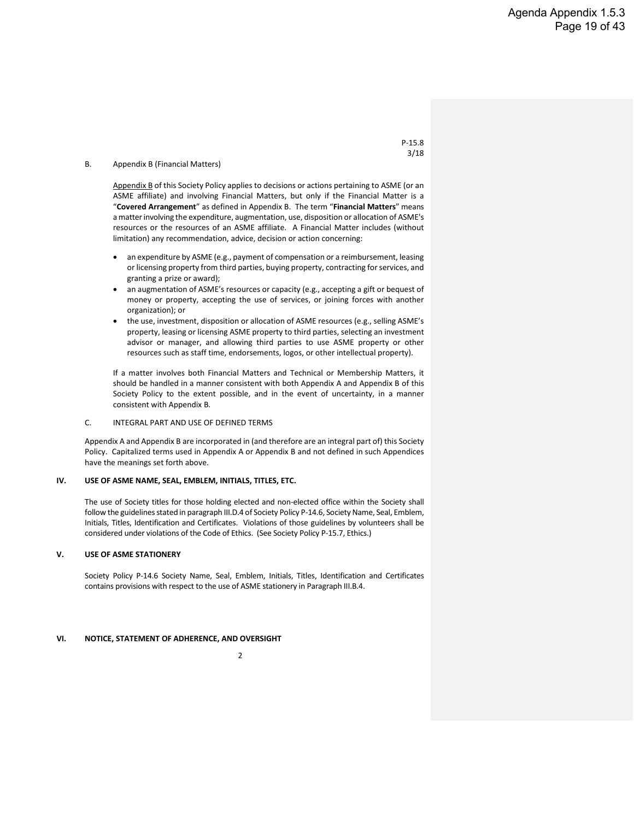#### B. Appendix B (Financial Matters)

Appendix B of this Society Policy applies to decisions or actions pertaining to ASME (or an ASME affiliate) and involving Financial Matters, but only if the Financial Matter is a "**Covered Arrangement**" as defined in Appendix B. The term "**Financial Matters**" means a matter involving the expenditure, augmentation, use, disposition or allocation of ASME's resources or the resources of an ASME affiliate. A Financial Matter includes (without limitation) any recommendation, advice, decision or action concerning:

- an expenditure by ASME (e.g., payment of compensation or a reimbursement, leasing or licensing property from third parties, buying property, contracting for services, and granting a prize or award);
- an augmentation of ASME's resources or capacity (e.g., accepting a gift or bequest of money or property, accepting the use of services, or joining forces with another organization); or
- the use, investment, disposition or allocation of ASME resources (e.g., selling ASME's property, leasing or licensing ASME property to third parties, selecting an investment advisor or manager, and allowing third parties to use ASME property or other resources such as staff time, endorsements, logos, or other intellectual property).

If a matter involves both Financial Matters and Technical or Membership Matters, it should be handled in a manner consistent with both Appendix A and Appendix B of this Society Policy to the extent possible, and in the event of uncertainty, in a manner consistent with Appendix B.

#### C. INTEGRAL PART AND USE OF DEFINED TERMS

Appendix A and Appendix B are incorporated in (and therefore are an integral part of) this Society Policy. Capitalized terms used in Appendix A or Appendix B and not defined in such Appendices have the meanings set forth above.

#### **IV. USE OF ASME NAME, SEAL, EMBLEM, INITIALS, TITLES, ETC.**

The use of Society titles for those holding elected and non-elected office within the Society shall follow the guidelines stated in paragraph III.D.4 of Society Policy P-14.6, Society Name, Seal, Emblem, Initials, Titles, Identification and Certificates. Violations of those guidelines by volunteers shall be considered under violations of the Code of Ethics. (See Society Policy P-15.7, Ethics.)

#### **V. USE OF ASME STATIONERY**

Society Policy P-14.6 Society Name, Seal, Emblem, Initials, Titles, Identification and Certificates contains provisions with respect to the use of ASME stationery in Paragraph III.B.4.

#### **VI. NOTICE, STATEMENT OF ADHERENCE, AND OVERSIGHT**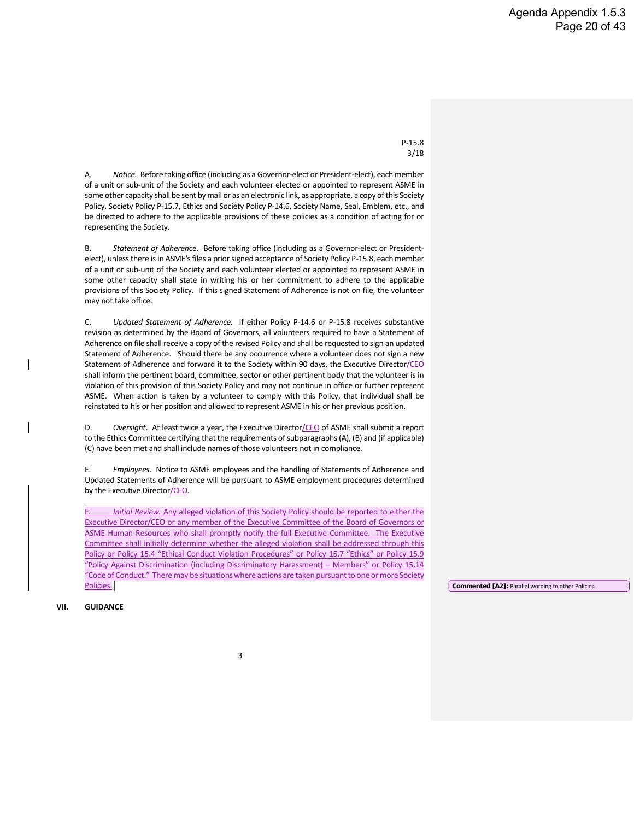A. *Notice.* Before taking office (including as a Governor-elect or President-elect), each member of a unit or sub-unit of the Society and each volunteer elected or appointed to represent ASME in some other capacity shall be sent by mail or as an electronic link, as appropriate, a copy of this Society Policy, Society Policy P-15.7, Ethics and Society Policy P-14.6, Society Name, Seal, Emblem, etc., and be directed to adhere to the applicable provisions of these policies as a condition of acting for or representing the Society.

B. *Statement of Adherence*. Before taking office (including as a Governor-elect or Presidentelect), unless there is in ASME's files a prior signed acceptance of Society Policy P-15.8, each member of a unit or sub-unit of the Society and each volunteer elected or appointed to represent ASME in some other capacity shall state in writing his or her commitment to adhere to the applicable provisions of this Society Policy. If this signed Statement of Adherence is not on file, the volunteer may not take office.

C. *Updated Statement of Adherence.* If either Policy P-14.6 or P-15.8 receives substantive revision as determined by the Board of Governors, all volunteers required to have a Statement of Adherence on file shall receive a copy of the revised Policy and shall be requested to sign an updated Statement of Adherence. Should there be any occurrence where a volunteer does not sign a new Statement of Adherence and forward it to the Society within 90 days, the Executive Director/CEO shall inform the pertinent board, committee, sector or other pertinent body that the volunteer is in violation of this provision of this Society Policy and may not continue in office or further represent ASME. When action is taken by a volunteer to comply with this Policy, that individual shall be reinstated to his or her position and allowed to represent ASME in his or her previous position.

D. Oversight. At least twice a year, the Executive Director/CEO of ASME shall submit a report to the Ethics Committee certifying that the requirements of subparagraphs (A), (B) and (if applicable) (C) have been met and shall include names of those volunteers not in compliance.

E. *Employees*. Notice to ASME employees and the handling of Statements of Adherence and Updated Statements of Adherence will be pursuant to ASME employment procedures determined by the Executive Director/CEO.

Initial Review. Any alleged violation of this Society Policy should be reported to either the Executive Director/CEO or any member of the Executive Committee of the Board of Governors or ASME Human Resources who shall promptly notify the full Executive Committee. The Executive Committee shall initially determine whether the alleged violation shall be addressed through this Policy or Policy 15.4 "Ethical Conduct Violation Procedures" or Policy 15.7 "Ethics" or Policy 15.9 "Policy Against Discrimination (including Discriminatory Harassment) – Members" or Policy 15.14 "Code of Conduct." There may be situations where actions are taken pursuant to one or more Society Policies.

**Commented [A2]:** Parallel wording to other Policies.

**VII. GUIDANCE**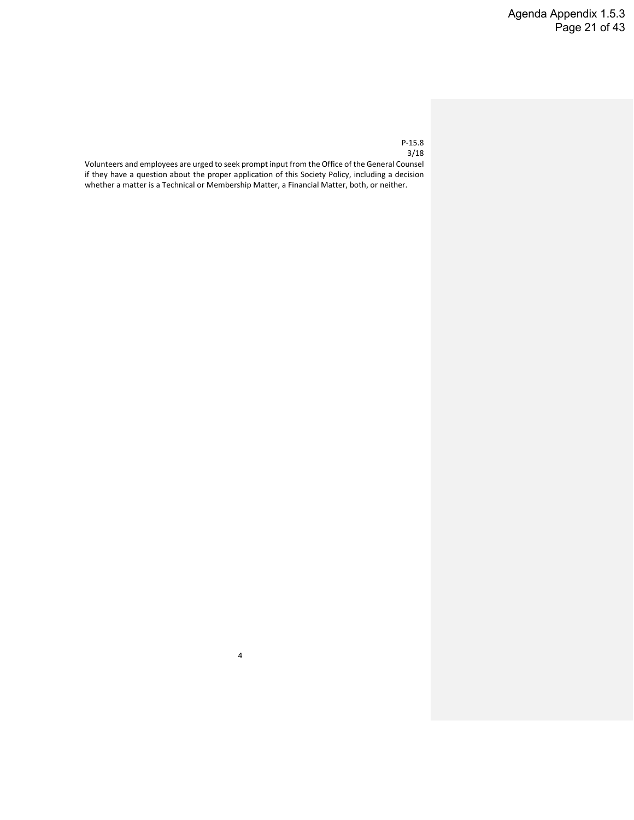Volunteers and employees are urged to seek prompt input from the Office of the General Counsel if they have a question about the proper application of this Society Policy, including a decision whether a matter is a Technical or Membership Matter, a Financial Matter, both, or neither.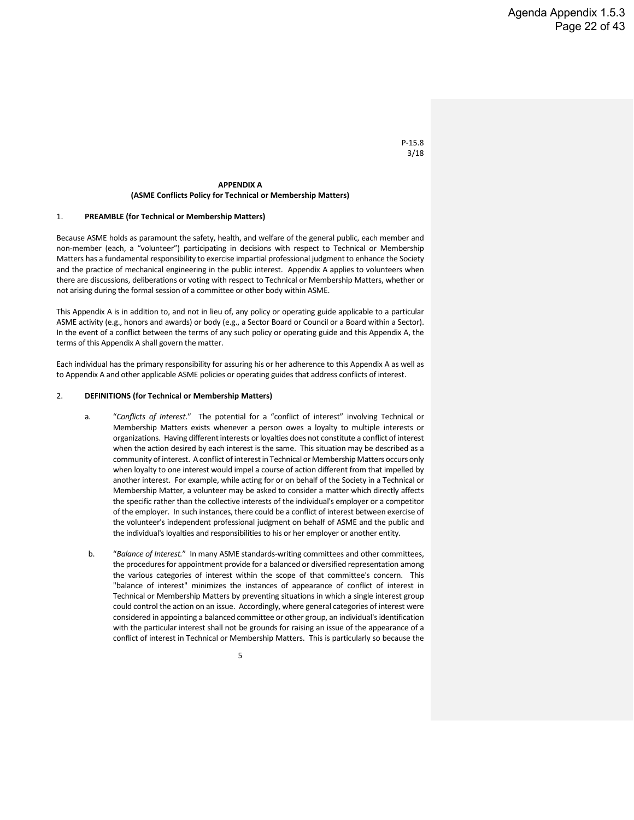#### **APPENDIX A (ASME Conflicts Policy for Technical or Membership Matters)**

#### 1. **PREAMBLE (for Technical or Membership Matters)**

Because ASME holds as paramount the safety, health, and welfare of the general public, each member and non-member (each, a "volunteer") participating in decisions with respect to Technical or Membership Matters has a fundamental responsibility to exercise impartial professional judgment to enhance the Society and the practice of mechanical engineering in the public interest. Appendix A applies to volunteers when there are discussions, deliberations or voting with respect to Technical or Membership Matters, whether or not arising during the formal session of a committee or other body within ASME.

This Appendix A is in addition to, and not in lieu of, any policy or operating guide applicable to a particular ASME activity (e.g., honors and awards) or body (e.g., a Sector Board or Council or a Board within a Sector). In the event of a conflict between the terms of any such policy or operating guide and this Appendix A, the terms of this Appendix A shall govern the matter.

Each individual has the primary responsibility for assuring his or her adherence to this Appendix A as well as to Appendix A and other applicable ASME policies or operating guides that address conflicts of interest.

#### 2. **DEFINITIONS (for Technical or Membership Matters)**

- a. "*Conflicts of Interest.*" The potential for a "conflict of interest" involving Technical or Membership Matters exists whenever a person owes a loyalty to multiple interests or organizations. Having different interests or loyalties does not constitute a conflict of interest when the action desired by each interest is the same. This situation may be described as a community of interest. A conflict of interest in Technical or Membership Matters occurs only when loyalty to one interest would impel a course of action different from that impelled by another interest. For example, while acting for or on behalf of the Society in a Technical or Membership Matter, a volunteer may be asked to consider a matter which directly affects the specific rather than the collective interests of the individual's employer or a competitor of the employer. In such instances, there could be a conflict of interest between exercise of the volunteer's independent professional judgment on behalf of ASME and the public and the individual's loyalties and responsibilities to his or her employer or another entity.
- b. "*Balance of Interest.*" In many ASME standards-writing committees and other committees, the procedures for appointment provide for a balanced or diversified representation among the various categories of interest within the scope of that committee's concern. This "balance of interest" minimizes the instances of appearance of conflict of interest in Technical or Membership Matters by preventing situations in which a single interest group could control the action on an issue. Accordingly, where general categories of interest were considered in appointing a balanced committee or other group, an individual's identification with the particular interest shall not be grounds for raising an issue of the appearance of a conflict of interest in Technical or Membership Matters. This is particularly so because the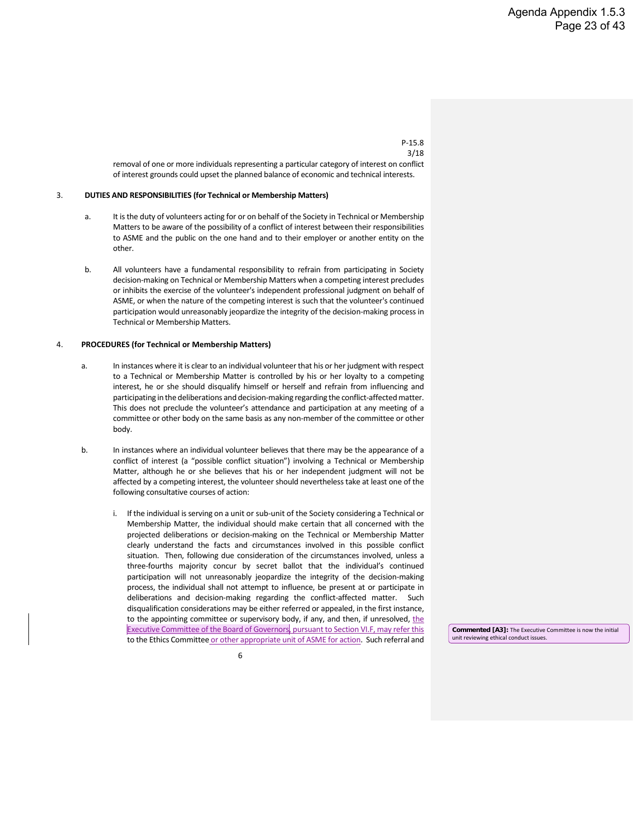removal of one or more individuals representing a particular category of interest on conflict of interest grounds could upset the planned balance of economic and technical interests.

#### 3. **DUTIES AND RESPONSIBILITIES (for Technical or Membership Matters)**

- a. It is the duty of volunteers acting for or on behalf of the Society in Technical or Membership Matters to be aware of the possibility of a conflict of interest between their responsibilities to ASME and the public on the one hand and to their employer or another entity on the other.
- b. All volunteers have a fundamental responsibility to refrain from participating in Society decision-making on Technical or Membership Matters when a competing interest precludes or inhibits the exercise of the volunteer's independent professional judgment on behalf of ASME, or when the nature of the competing interest is such that the volunteer's continued participation would unreasonably jeopardize the integrity of the decision-making process in Technical or Membership Matters.

#### 4. **PROCEDURES (for Technical or Membership Matters)**

- a. In instances where it is clear to an individual volunteer that his or her judgment with respect to a Technical or Membership Matter is controlled by his or her loyalty to a competing interest, he or she should disqualify himself or herself and refrain from influencing and participating in the deliberations and decision-making regarding the conflict-affected matter. This does not preclude the volunteer's attendance and participation at any meeting of a committee or other body on the same basis as any non-member of the committee or other body.
- b. In instances where an individual volunteer believes that there may be the appearance of a conflict of interest (a "possible conflict situation") involving a Technical or Membership Matter, although he or she believes that his or her independent judgment will not be affected by a competing interest, the volunteer should nevertheless take at least one of the following consultative courses of action:
	- i. If the individual is serving on a unit or sub-unit of the Society considering a Technical or Membership Matter, the individual should make certain that all concerned with the projected deliberations or decision-making on the Technical or Membership Matter clearly understand the facts and circumstances involved in this possible conflict situation. Then, following due consideration of the circumstances involved, unless a three-fourths majority concur by secret ballot that the individual's continued participation will not unreasonably jeopardize the integrity of the decision-making process, the individual shall not attempt to influence, be present at or participate in deliberations and decision-making regarding the conflict-affected matter. Such disqualification considerations may be either referred or appealed, in the first instance, to the appointing committee or supervisory body, if any, and then, if unresolved, the Executive Committee of the Board of Governors, pursuant to Section VI.F, may refer this to the Ethics Committee or other appropriate unit of ASME for action. Such referral and

**Commented [A3]:** The Executive Committee is now the initial unit reviewing ethical conduct issues.



#### 3/18

P-15.8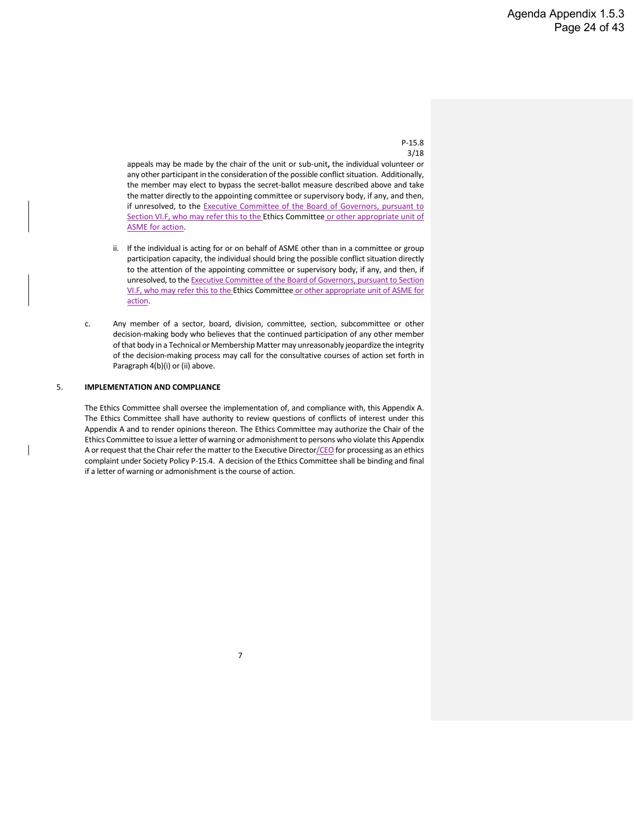appeals may be made by the chair of the unit or sub-unit**,** the individual volunteer or any other participant in the consideration of the possible conflict situation. Additionally, the member may elect to bypass the secret-ballot measure described above and take the matter directly to the appointing committee or supervisory body, if any, and then, if unresolved, to the **Executive Committee of the Board of Governors**, pursuant to Section VI.F, who may refer this to the Ethics Committee or other appropriate unit of ASME for action.

- ii. If the individual is acting for or on behalf of ASME other than in a committee or group participation capacity, the individual should bring the possible conflict situation directly to the attention of the appointing committee or supervisory body, if any, and then, if unresolved, to the Executive Committee of the Board of Governors, pursuant to Section VI.F, who may refer this to the Ethics Committee or other appropriate unit of ASME for action.
- c. Any member of a sector, board, division, committee, section, subcommittee or other decision-making body who believes that the continued participation of any other member of that body in a Technical or Membership Matter may unreasonably jeopardize the integrity of the decision-making process may call for the consultative courses of action set forth in Paragraph 4(b)(i) or (ii) above.

#### 5. **IMPLEMENTATION AND COMPLIANCE**

The Ethics Committee shall oversee the implementation of, and compliance with, this Appendix A. The Ethics Committee shall have authority to review questions of conflicts of interest under this Appendix A and to render opinions thereon. The Ethics Committee may authorize the Chair of the Ethics Committee to issue a letter of warning or admonishment to persons who violate this Appendix A or request that the Chair refer the matter to the Executive Director/CEO for processing as an ethics complaint under Society Policy P-15.4. A decision of the Ethics Committee shall be binding and final if a letter of warning or admonishment is the course of action.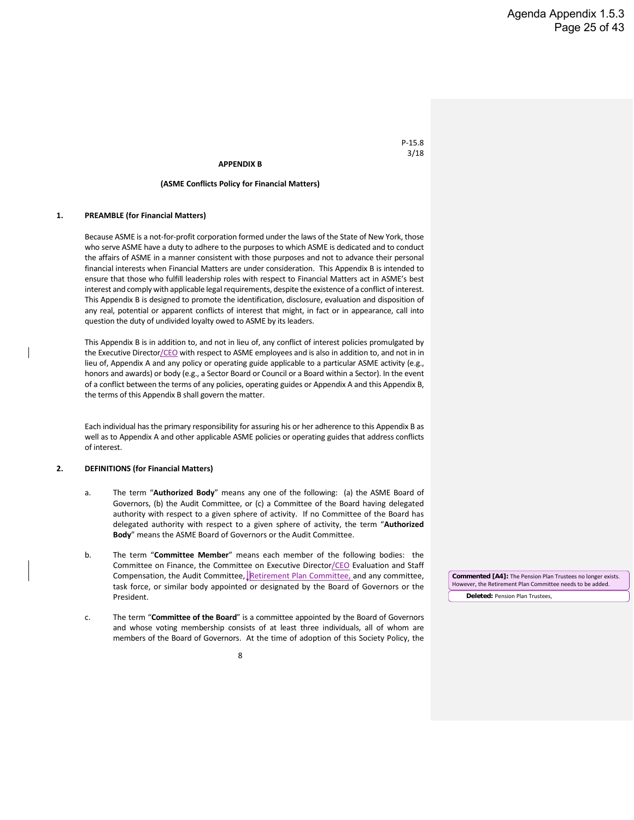#### **APPENDIX B**

#### **(ASME Conflicts Policy for Financial Matters)**

#### **1. PREAMBLE (for Financial Matters)**

Because ASME is a not-for-profit corporation formed under the laws of the State of New York, those who serve ASME have a duty to adhere to the purposes to which ASME is dedicated and to conduct the affairs of ASME in a manner consistent with those purposes and not to advance their personal financial interests when Financial Matters are under consideration. This Appendix B is intended to ensure that those who fulfill leadership roles with respect to Financial Matters act in ASME's best interest and comply with applicable legal requirements, despite the existence of a conflict of interest. This Appendix B is designed to promote the identification, disclosure, evaluation and disposition of any real, potential or apparent conflicts of interest that might, in fact or in appearance, call into question the duty of undivided loyalty owed to ASME by its leaders.

This Appendix B is in addition to, and not in lieu of, any conflict of interest policies promulgated by the Executive Director/CEO with respect to ASME employees and is also in addition to, and not in in lieu of, Appendix A and any policy or operating guide applicable to a particular ASME activity (e.g., honors and awards) or body (e.g., a Sector Board or Council or a Board within a Sector). In the event of a conflict between the terms of any policies, operating guides or Appendix A and this Appendix B, the terms of this Appendix B shall govern the matter.

Each individual has the primary responsibility for assuring his or her adherence to this Appendix B as well as to Appendix A and other applicable ASME policies or operating guides that address conflicts of interest.

#### **2. DEFINITIONS (for Financial Matters)**

- a. The term "**Authorized Body**" means any one of the following: (a) the ASME Board of Governors, (b) the Audit Committee, or (c) a Committee of the Board having delegated authority with respect to a given sphere of activity. If no Committee of the Board has delegated authority with respect to a given sphere of activity, the term "**Authorized Body**" means the ASME Board of Governors or the Audit Committee.
- b. The term "**Committee Member**" means each member of the following bodies: the Committee on Finance, the Committee on Executive Director/CEO Evaluation and Staff Compensation, the Audit Committee, Retirement Plan Committee, and any committee, task force, or similar body appointed or designated by the Board of Governors or the President.
- c. The term "**Committee of the Board**" is a committee appointed by the Board of Governors and whose voting membership consists of at least three individuals, all of whom are members of the Board of Governors. At the time of adoption of this Society Policy, the

**Deleted:** Pension Plan Trustees, **Commented [A4]:** The Pension Plan Trustees no longer exists. However, the Retirement Plan Committee needs to be added.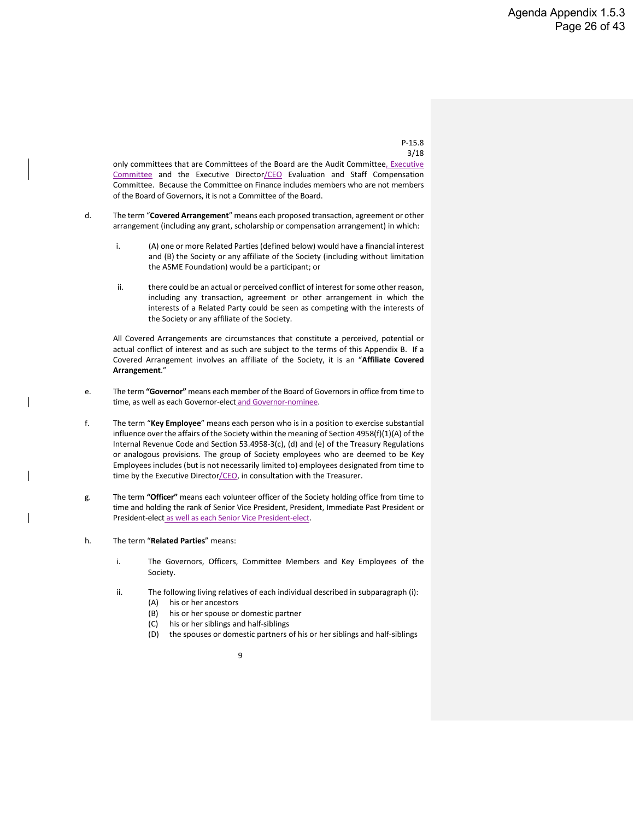only committees that are Committees of the Board are the Audit Committee, Executive Committee and the Executive Director/CEO Evaluation and Staff Compensation Committee. Because the Committee on Finance includes members who are not members of the Board of Governors, it is not a Committee of the Board.

- d. The term "**Covered Arrangement**" means each proposed transaction, agreement or other arrangement (including any grant, scholarship or compensation arrangement) in which:
	- i. (A) one or more Related Parties (defined below) would have a financial interest and (B) the Society or any affiliate of the Society (including without limitation the ASME Foundation) would be a participant; or
	- ii. there could be an actual or perceived conflict of interest for some other reason, including any transaction, agreement or other arrangement in which the interests of a Related Party could be seen as competing with the interests of the Society or any affiliate of the Society.

All Covered Arrangements are circumstances that constitute a perceived, potential or actual conflict of interest and as such are subject to the terms of this Appendix B. If a Covered Arrangement involves an affiliate of the Society, it is an "**Affiliate Covered Arrangement**."

- e. The term **"Governor"** means each member of the Board of Governors in office from time to time, as well as each Governor-elect and Governor-nominee.
- f. The term "**Key Employee**" means each person who is in a position to exercise substantial influence over the affairs of the Society within the meaning of Section 4958(f)(1)(A) of the Internal Revenue Code and Section 53.4958-3(c), (d) and (e) of the Treasury Regulations or analogous provisions. The group of Society employees who are deemed to be Key Employees includes (but is not necessarily limited to) employees designated from time to time by the Executive Director/CEO, in consultation with the Treasurer.
- g. The term **"Officer"** means each volunteer officer of the Society holding office from time to time and holding the rank of Senior Vice President, President, Immediate Past President or President-elect as well as each Senior Vice President-elect.
- h. The term "**Related Parties**" means:
	- i. The Governors, Officers, Committee Members and Key Employees of the Society.
	- ii. The following living relatives of each individual described in subparagraph (i):
		- (A) his or her ancestors
		- (B) his or her spouse or domestic partner
		- (C) his or her siblings and half-siblings
		- (D) the spouses or domestic partners of his or her siblings and half-siblings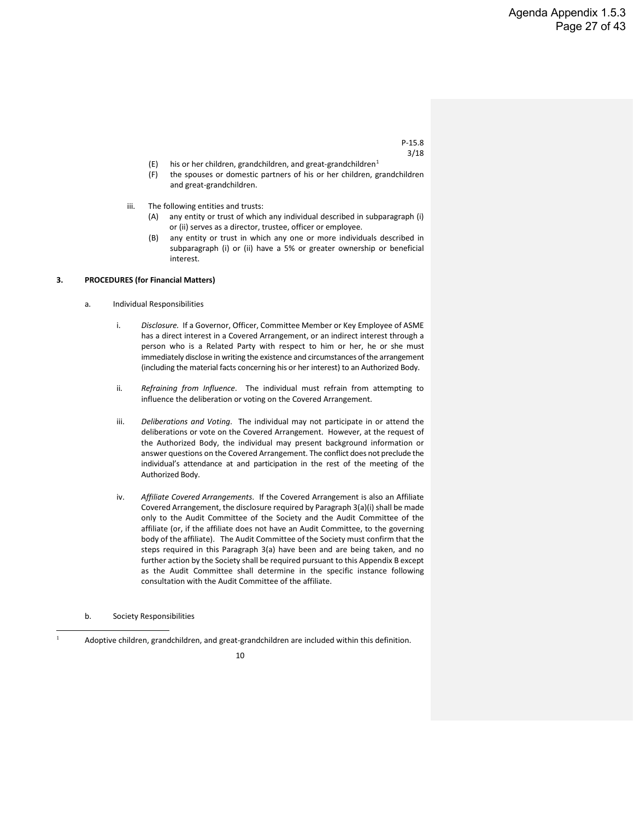- (E) his or her children, grandchildren, and great-grandchildren<sup>1</sup>
- (F) the spouses or domestic partners of his or her children, grandchildren and great-grandchildren.
- iii. The following entities and trusts:
	- (A) any entity or trust of which any individual described in subparagraph (i) or (ii) serves as a director, trustee, officer or employee.
	- (B) any entity or trust in which any one or more individuals described in subparagraph (i) or (ii) have a 5% or greater ownership or beneficial interest.

#### **3. PROCEDURES (for Financial Matters)**

- a. Individual Responsibilities
	- i. *Disclosure.* If a Governor, Officer, Committee Member or Key Employee of ASME has a direct interest in a Covered Arrangement, or an indirect interest through a person who is a Related Party with respect to him or her, he or she must immediately disclose in writing the existence and circumstances of the arrangement (including the material facts concerning his or her interest) to an Authorized Body.
	- ii. *Refraining from Influence*. The individual must refrain from attempting to influence the deliberation or voting on the Covered Arrangement.
	- iii. *Deliberations and Voting*. The individual may not participate in or attend the deliberations or vote on the Covered Arrangement. However, at the request of the Authorized Body, the individual may present background information or answer questions on the Covered Arrangement. The conflict does not preclude the individual's attendance at and participation in the rest of the meeting of the Authorized Body.
	- iv. *Affiliate Covered Arrangements*. If the Covered Arrangement is also an Affiliate Covered Arrangement, the disclosure required by Paragraph 3(a)(i) shall be made only to the Audit Committee of the Society and the Audit Committee of the affiliate (or, if the affiliate does not have an Audit Committee, to the governing body of the affiliate). The Audit Committee of the Society must confirm that the steps required in this Paragraph 3(a) have been and are being taken, and no further action by the Society shall be required pursuant to this Appendix B except as the Audit Committee shall determine in the specific instance following consultation with the Audit Committee of the affiliate.

b. Society Responsibilities

<span id="page-30-0"></span><sup>1</sup> Adoptive children, grandchildren, and great-grandchildren are included within this definition.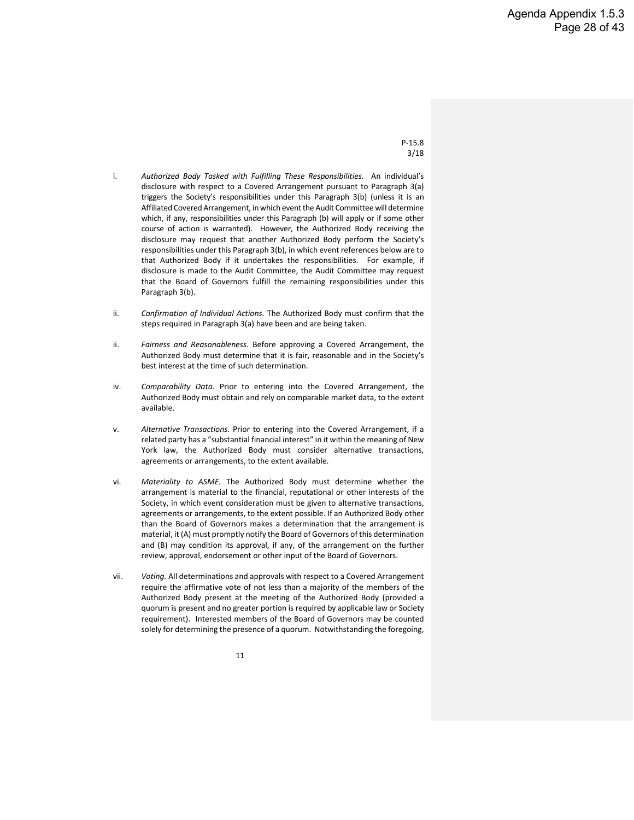- i. *Authorized Body Tasked with Fulfilling These Responsibilities.* An individual's disclosure with respect to a Covered Arrangement pursuant to Paragraph 3(a) triggers the Society's responsibilities under this Paragraph 3(b) (unless it is an Affiliated Covered Arrangement, in which event the Audit Committee will determine which, if any, responsibilities under this Paragraph (b) will apply or if some other course of action is warranted). However, the Authorized Body receiving the disclosure may request that another Authorized Body perform the Society's responsibilities under this Paragraph 3(b), in which event references below are to that Authorized Body if it undertakes the responsibilities. For example, if disclosure is made to the Audit Committee, the Audit Committee may request that the Board of Governors fulfill the remaining responsibilities under this Paragraph 3(b).
- ii. *Confirmation of Individual Actions.* The Authorized Body must confirm that the steps required in Paragraph 3(a) have been and are being taken.
- ii. *Fairness and Reasonableness.* Before approving a Covered Arrangement, the Authorized Body must determine that it is fair, reasonable and in the Society's best interest at the time of such determination.
- iv. *Comparability Data.* Prior to entering into the Covered Arrangement, the Authorized Body must obtain and rely on comparable market data, to the extent available.
- v. *Alternative Transactions.* Prior to entering into the Covered Arrangement, if a related party has a "substantial financial interest" in it within the meaning of New York law, the Authorized Body must consider alternative transactions, agreements or arrangements, to the extent available.
- vi. *Materiality to ASME.* The Authorized Body must determine whether the arrangement is material to the financial, reputational or other interests of the Society, in which event consideration must be given to alternative transactions, agreements or arrangements, to the extent possible. If an Authorized Body other than the Board of Governors makes a determination that the arrangement is material, it (A) must promptly notify the Board of Governors of this determination and (B) may condition its approval, if any, of the arrangement on the further review, approval, endorsement or other input of the Board of Governors.
- vii. *Voting.* All determinations and approvals with respect to a Covered Arrangement require the affirmative vote of not less than a majority of the members of the Authorized Body present at the meeting of the Authorized Body (provided a quorum is present and no greater portion is required by applicable law or Society requirement). Interested members of the Board of Governors may be counted solely for determining the presence of a quorum. Notwithstanding the foregoing,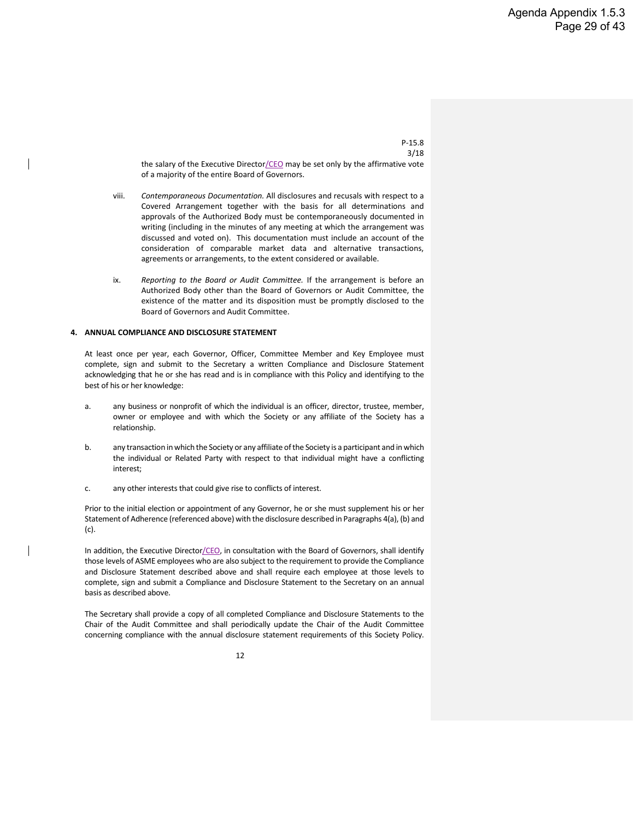the salary of the Executive Director/CEO may be set only by the affirmative vote of a majority of the entire Board of Governors.

- viii. *Contemporaneous Documentation.* All disclosures and recusals with respect to a Covered Arrangement together with the basis for all determinations and approvals of the Authorized Body must be contemporaneously documented in writing (including in the minutes of any meeting at which the arrangement was discussed and voted on). This documentation must include an account of the consideration of comparable market data and alternative transactions, agreements or arrangements, to the extent considered or available.
- ix. *Reporting to the Board or Audit Committee.* If the arrangement is before an Authorized Body other than the Board of Governors or Audit Committee, the existence of the matter and its disposition must be promptly disclosed to the Board of Governors and Audit Committee.

#### **4. ANNUAL COMPLIANCE AND DISCLOSURE STATEMENT**

At least once per year, each Governor, Officer, Committee Member and Key Employee must complete, sign and submit to the Secretary a written Compliance and Disclosure Statement acknowledging that he or she has read and is in compliance with this Policy and identifying to the best of his or her knowledge:

- a. any business or nonprofit of which the individual is an officer, director, trustee, member, owner or employee and with which the Society or any affiliate of the Society has a relationship.
- b. any transaction in which the Society or any affiliate of the Society is a participant and in which the individual or Related Party with respect to that individual might have a conflicting interest;
- c. any other interests that could give rise to conflicts of interest.

Prior to the initial election or appointment of any Governor, he or she must supplement his or her Statement of Adherence (referenced above) with the disclosure described in Paragraphs 4(a), (b) and (c).

In addition, the Executive Director/CEO, in consultation with the Board of Governors, shall identify those levels of ASME employees who are also subject to the requirement to provide the Compliance and Disclosure Statement described above and shall require each employee at those levels to complete, sign and submit a Compliance and Disclosure Statement to the Secretary on an annual basis as described above.

The Secretary shall provide a copy of all completed Compliance and Disclosure Statements to the Chair of the Audit Committee and shall periodically update the Chair of the Audit Committee concerning compliance with the annual disclosure statement requirements of this Society Policy.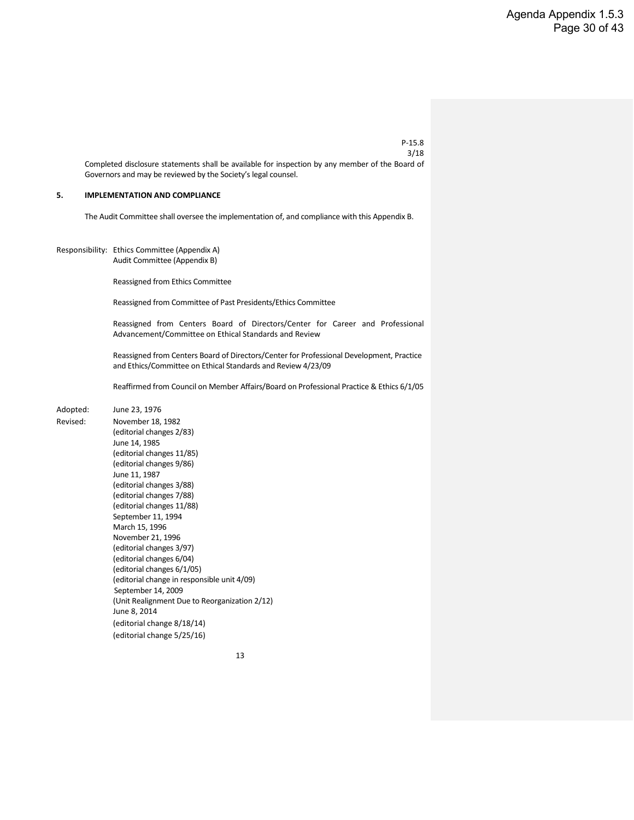Completed disclosure statements shall be available for inspection by any member of the Board of Governors and may be reviewed by the Society's legal counsel.

#### **5. IMPLEMENTATION AND COMPLIANCE**

The Audit Committee shall oversee the implementation of, and compliance with this Appendix B.

Responsibility: Ethics Committee (Appendix A) Audit Committee (Appendix B)

Reassigned from Ethics Committee

Reassigned from Committee of Past Presidents/Ethics Committee

Reassigned from Centers Board of Directors/Center for Career and Professional Advancement/Committee on Ethical Standards and Review

Reassigned from Centers Board of Directors/Center for Professional Development, Practice and Ethics/Committee on Ethical Standards and Review 4/23/09

Reaffirmed from Council on Member Affairs/Board on Professional Practice & Ethics 6/1/05

#### Adopted: June 23, 1976

Revised: November 18, 1982 (editorial changes 2/83) June 14, 1985 (editorial changes 11/85) (editorial changes 9/86) June 11, 1987 (editorial changes 3/88) (editorial changes 7/88) (editorial changes 11/88) September 11, 1994 March 15, 1996 November 21, 1996 (editorial changes 3/97) (editorial changes 6/04) (editorial changes 6/1/05) (editorial change in responsible unit 4/09) September 14, 2009 (Unit Realignment Due to Reorganization 2/12) June 8, 2014 (editorial change 8/18/14) (editorial change 5/25/16)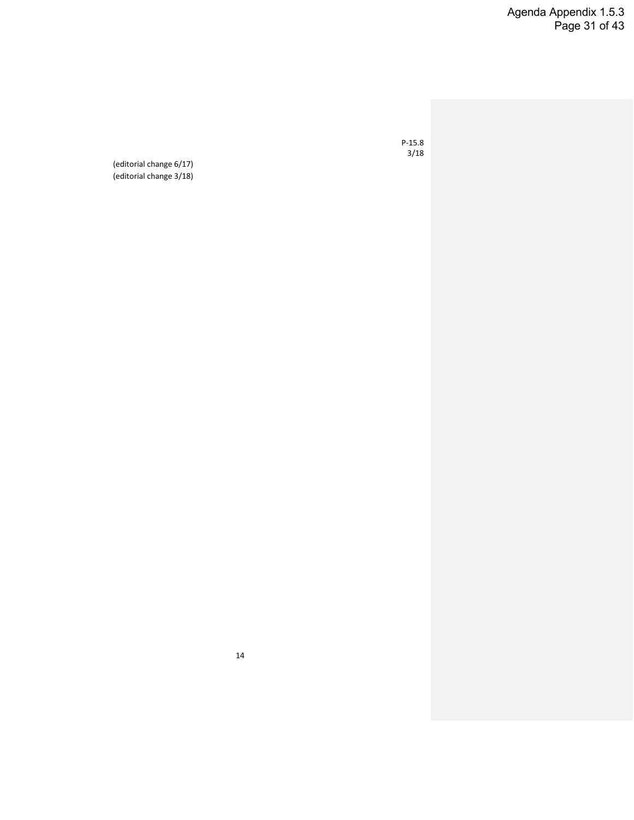Agenda Appendix 1.5.3 Page 31 of 43

P-15.8 3/18

(editorial change 6/17) (editorial change 3/18)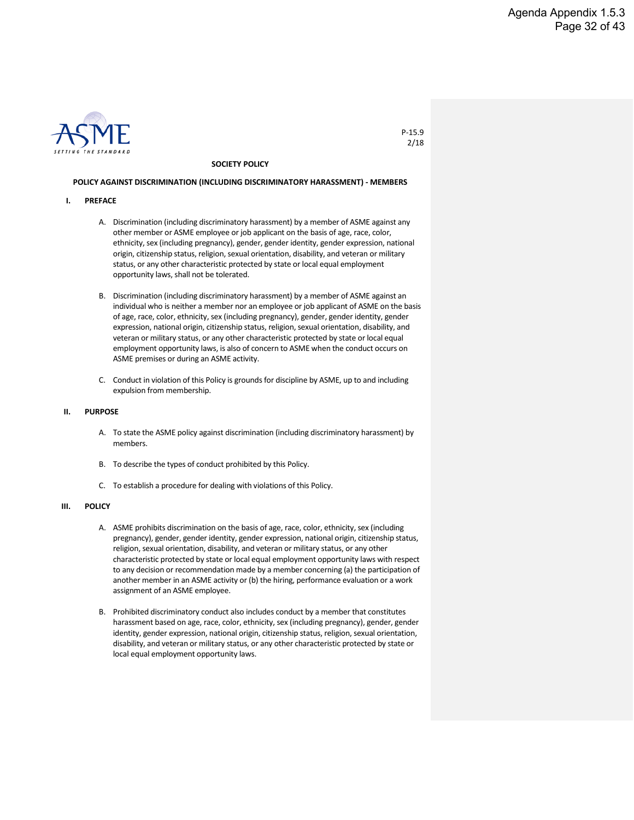

#### **SOCIETY POLICY**

#### **POLICY AGAINST DISCRIMINATION (INCLUDING DISCRIMINATORY HARASSMENT) - MEMBERS**

- **I. PREFACE**
	- A. Discrimination (including discriminatory harassment) by a member of ASME against any other member or ASME employee or job applicant on the basis of age, race, color, ethnicity, sex (including pregnancy), gender, gender identity, gender expression, national origin, citizenship status, religion, sexual orientation, disability, and veteran or military status, or any other characteristic protected by state or local equal employment opportunity laws, shall not be tolerated.
	- B. Discrimination (including discriminatory harassment) by a member of ASME against an individual who is neither a member nor an employee or job applicant of ASME on the basis of age, race, color, ethnicity, sex (including pregnancy), gender, gender identity, gender expression, national origin, citizenship status, religion, sexual orientation, disability, and veteran or military status, or any other characteristic protected by state or local equal employment opportunity laws, is also of concern to ASME when the conduct occurs on ASME premises or during an ASME activity.
	- C. Conduct in violation of this Policy is grounds for discipline by ASME, up to and including expulsion from membership.

#### **II. PURPOSE**

- A. To state the ASME policy against discrimination (including discriminatory harassment) by members.
- B. To describe the types of conduct prohibited by this Policy.
- C. To establish a procedure for dealing with violations of this Policy.

#### **III. POLICY**

- A. ASME prohibits discrimination on the basis of age, race, color, ethnicity, sex (including pregnancy), gender, gender identity, gender expression, national origin, citizenship status, religion, sexual orientation, disability, and veteran or military status, or any other characteristic protected by state or local equal employment opportunity laws with respect to any decision or recommendation made by a member concerning (a) the participation of another member in an ASME activity or (b) the hiring, performance evaluation or a work assignment of an ASME employee.
- B. Prohibited discriminatory conduct also includes conduct by a member that constitutes harassment based on age, race, color, ethnicity, sex (including pregnancy), gender, gender identity, gender expression, national origin, citizenship status, religion, sexual orientation, disability, and veteran or military status, or any other characteristic protected by state or local equal employment opportunity laws.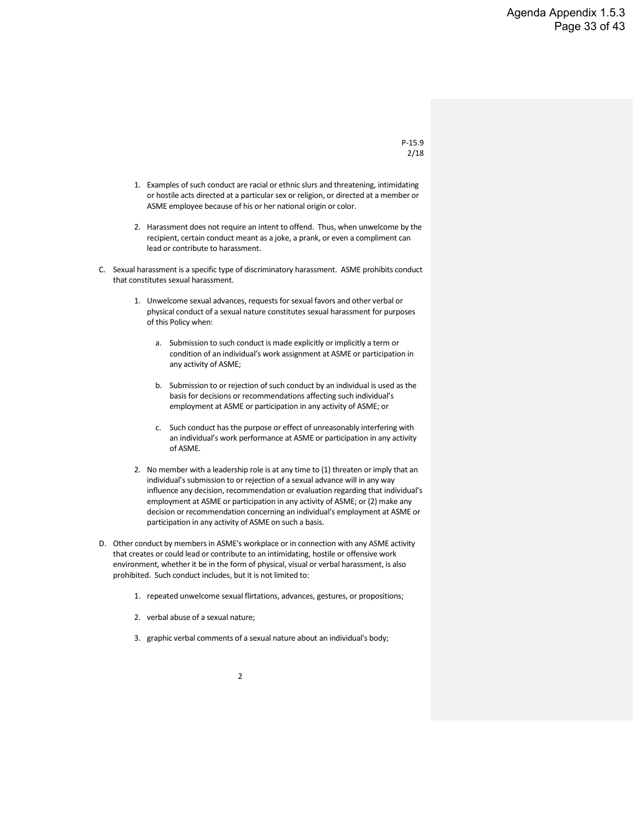- 1. Examples of such conduct are racial or ethnic slurs and threatening, intimidating or hostile acts directed at a particular sex or religion, or directed at a member or ASME employee because of his or her national origin or color.
- 2. Harassment does not require an intent to offend. Thus, when unwelcome by the recipient, certain conduct meant as a joke, a prank, or even a compliment can lead or contribute to harassment.
- C. Sexual harassment is a specific type of discriminatory harassment. ASME prohibits conduct that constitutes sexual harassment.
	- 1. Unwelcome sexual advances, requests for sexual favors and other verbal or physical conduct of a sexual nature constitutes sexual harassment for purposes of this Policy when:
		- a. Submission to such conduct is made explicitly or implicitly a term or condition of an individual's work assignment at ASME or participation in any activity of ASME;
		- b. Submission to or rejection of such conduct by an individual is used as the basis for decisions or recommendations affecting such individual's employment at ASME or participation in any activity of ASME; or
		- c. Such conduct has the purpose or effect of unreasonably interfering with an individual's work performance at ASME or participation in any activity of ASME.
	- 2. No member with a leadership role is at any time to (1) threaten or imply that an individual's submission to or rejection of a sexual advance will in any way influence any decision, recommendation or evaluation regarding that individual's employment at ASME or participation in any activity of ASME; or (2) make any decision or recommendation concerning an individual's employment at ASME or participation in any activity of ASME on such a basis.
- D. Other conduct by members in ASME's workplace or in connection with any ASME activity that creates or could lead or contribute to an intimidating, hostile or offensive work environment, whether it be in the form of physical, visual or verbal harassment, is also prohibited. Such conduct includes, but it is not limited to:
	- 1. repeated unwelcome sexual flirtations, advances, gestures, or propositions;
	- 2. verbal abuse of a sexual nature;
	- 3. graphic verbal comments of a sexual nature about an individual's body;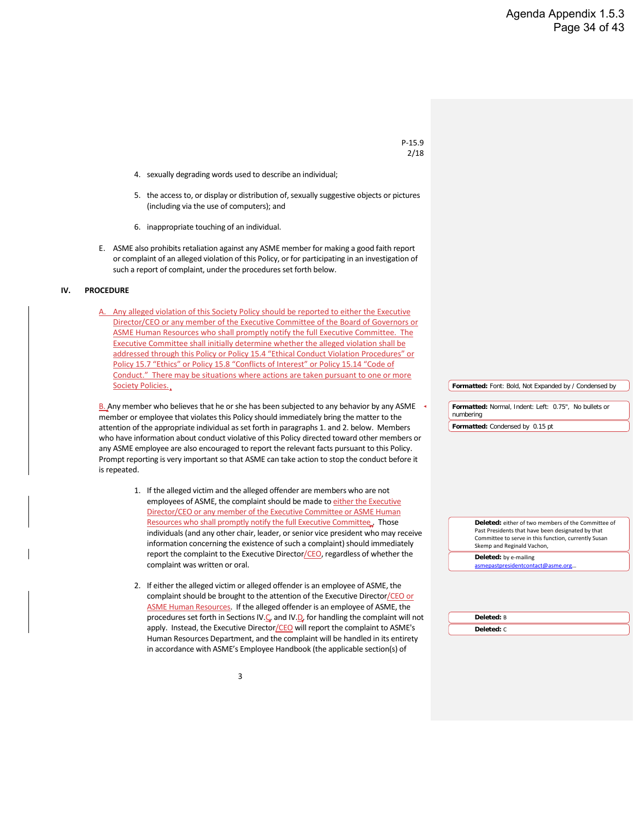- 4. sexually degrading words used to describe an individual;
- 5. the access to, or display or distribution of, sexually suggestive objects or pictures (including via the use of computers); and
- 6. inappropriate touching of an individual.
- E. ASME also prohibits retaliation against any ASME member for making a good faith report or complaint of an alleged violation of this Policy, or for participating in an investigation of such a report of complaint, under the procedures set forth below.

#### **IV. PROCEDURE**

A. Any alleged violation of this Society Policy should be reported to either the Executive Director/CEO or any member of the Executive Committee of the Board of Governors or ASME Human Resources who shall promptly notify the full Executive Committee. The Executive Committee shall initially determine whether the alleged violation shall be addressed through this Policy or Policy 15.4 "Ethical Conduct Violation Procedures" or Policy 15.7 "Ethics" or Policy 15.8 "Conflicts of Interest" or Policy 15.14 "Code of Conduct." There may be situations where actions are taken pursuant to one or more Society Policies.

B. Any member who believes that he or she has been subjected to any behavior by any ASME member or employee that violates this Policy should immediately bring the matter to the attention of the appropriate individual as set forth in paragraphs 1. and 2. below. Members who have information about conduct violative of this Policy directed toward other members or any ASME employee are also encouraged to report the relevant facts pursuant to this Policy. Prompt reporting is very important so that ASME can take action to stop the conduct before it is repeated.

- 1. If the alleged victim and the alleged offender are members who are not employees of ASME, the complaint should be made to either the Executive Director/CEO or any member of the Executive Committee or ASME Human Resources who shall promptly notify the full Executive Committee. Those individuals (and any other chair, leader, or senior vice president who may receive information concerning the existence of such a complaint) should immediately report the complaint to the Executive Director/CEO, regardless of whether the complaint was written or oral.
- 2. If either the alleged victim or alleged offender is an employee of ASME, the complaint should be brought to the attention of the Executive Director/CEO or ASME Human Resources. If the alleged offender is an employee of ASME, the procedures set forth in Sections IV.C. and IV.D. for handling the complaint will not apply. Instead, the Executive Director/CEO will report the complaint to ASME's Human Resources Department, and the complaint will be handled in its entirety in accordance with ASME's Employee Handbook (the applicable section(s) of

**Formatted:** Font: Bold, Not Expanded by / Condensed by

**Formatted:** Normal, Indent: Left: 0.75", No bullets or numbering **Formatted:** Condensed by 0.15 pt

> **Deleted:** either of two members of the Committee of Past Presidents that have been designated by that Committee to serve in this function, currently Susan Skemp and Reginald Vachon,

**Deleted:** by e-mailing

asmepastpresidentcontact@asme.org…

**Deleted:** B **Deleted:** C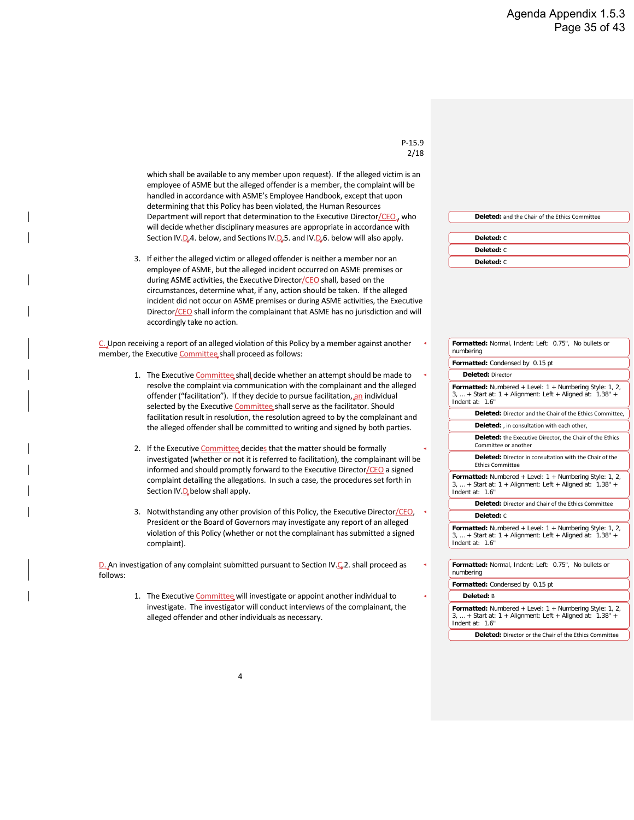which shall be available to any member upon request). If the alleged victim is an employee of ASME but the alleged offender is a member, the complaint will be handled in accordance with ASME's Employee Handbook, except that upon determining that this Policy has been violated, the Human Resources Department will report that determination to the Executive Director/CEO, who will decide whether disciplinary measures are appropriate in accordance with Section IV.D.4. below, and Sections IV.D.5. and IV.D.6. below will also apply.

3. If either the alleged victim or alleged offender is neither a member nor an employee of ASME, but the alleged incident occurred on ASME premises or during ASME activities, the Executive Director/CEO shall, based on the circumstances, determine what, if any, action should be taken. If the alleged incident did not occur on ASME premises or during ASME activities, the Executive Director/CEO shall inform the complainant that ASME has no jurisdiction and will accordingly take no action.

C. Upon receiving a report of an alleged violation of this Policy by a member against another member, the Executive Committee shall proceed as follows:

- 1. The Executive Committee shall decide whether an attempt should be made to resolve the complaint via communication with the complainant and the alleged offender ("facilitation"). If they decide to pursue facilitation, an individual selected by the Executive Committee shall serve as the facilitator. Should facilitation result in resolution, the resolution agreed to by the complainant and the alleged offender shall be committed to writing and signed by both parties.
- 2. If the Executive Committee decides that the matter should be formally investigated (whether or not it is referred to facilitation), the complainant will be informed and should promptly forward to the Executive Director/CEO a signed complaint detailing the allegations. In such a case, the procedures set forth in Section IV.D below shall apply.
- 3. Notwithstanding any other provision of this Policy, the Executive Director/CEO, President or the Board of Governors may investigate any report of an alleged violation of this Policy (whether or not the complainant has submitted a signed complaint).

D. An investigation of any complaint submitted pursuant to Section IV.C.2. shall proceed as follows:

> 1. The Executive Committee will investigate or appoint another individual to investigate. The investigator will conduct interviews of the complainant, the alleged offender and other individuals as necessary.

**Deleted:** and the Chair of the Ethics Committee

| Deleted: C |
|------------|
| Deleted: C |
| Deleted: C |

| Formatted: Normal, Indent: Left: 0.75", No bullets or<br>numbering                                                                              |  |  |  |
|-------------------------------------------------------------------------------------------------------------------------------------------------|--|--|--|
| Formatted: Condensed by 0.15 pt                                                                                                                 |  |  |  |
| Deleted: Director                                                                                                                               |  |  |  |
| Formatted: Numbered + Level: $1 +$ Numbering Style: 1, 2,<br>$3, $ + Start at: 1 + Alignment: Left + Aligned at: 1.38" +<br>Indent at: 1.6"     |  |  |  |
| <b>Deleted:</b> Director and the Chair of the Ethics Committee.                                                                                 |  |  |  |
| Deleted: , in consultation with each other,                                                                                                     |  |  |  |
| Deleted: the Executive Director, the Chair of the Ethics<br>Committee or another                                                                |  |  |  |
| Deleted: Director in consultation with the Chair of the<br><b>Ethics Committee</b>                                                              |  |  |  |
| Formatted: Numbered + Level: $1 +$ Numbering Style: 1, 2,<br>$3,  +$ Start at: $1 +$ Alignment: Left + Aligned at: $1.38" +$<br>Indent at: 1.6" |  |  |  |
| <b>Deleted:</b> Director and Chair of the Ethics Committee                                                                                      |  |  |  |
| Deleted: C                                                                                                                                      |  |  |  |
| Formatted: Numbered + Level: $1 +$ Numbering Style: 1, 2,<br>$3, $ + Start at: $1 +$ Alignment: Left + Aligned at: $1.38"$ +<br>Indent at: 1.6" |  |  |  |
|                                                                                                                                                 |  |  |  |
| Formatted: Normal, Indent: Left: 0.75", No bullets or<br>numbering                                                                              |  |  |  |
| Formatted: Condensed by 0.15 pt                                                                                                                 |  |  |  |
| Deleted: B                                                                                                                                      |  |  |  |
| Formatted: Numbered + Level: 1 + Numbering Style: 1, 2,<br>$3, $ + Start at: $1 +$ Alignment: Left + Aligned at: $1.38"$ +                      |  |  |  |

**Deleted:** Director or the Chair of the Ethics Committee

Indent at: 1.6"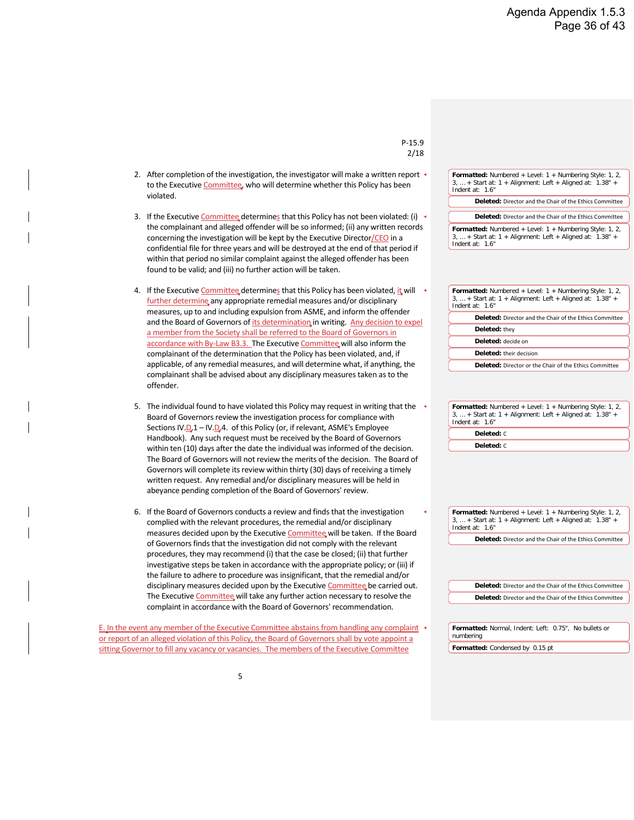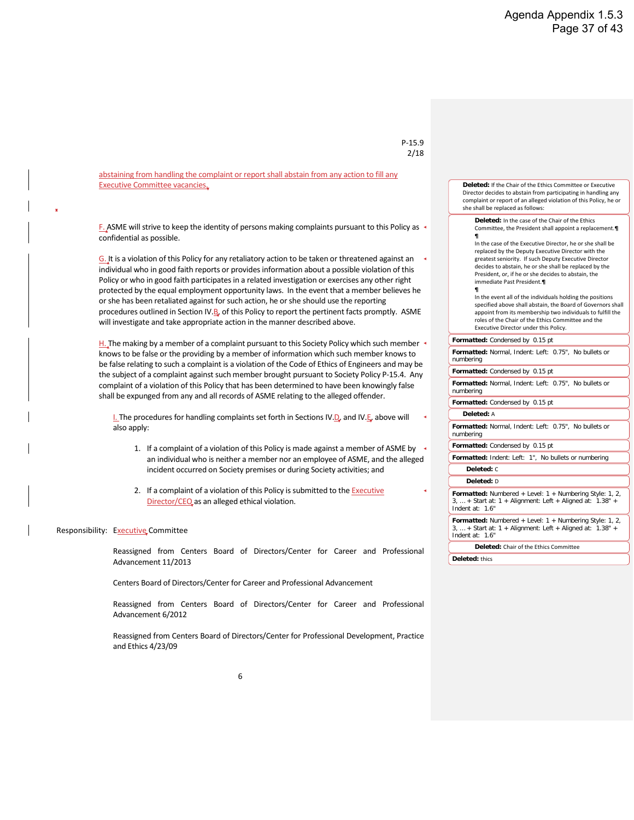abstaining from handling the complaint or report shall abstain from any action to fill any Executive Committee vacancies.

F. ASME will strive to keep the identity of persons making complaints pursuant to this Policy as confidential as possible.

G. It is a violation of this Policy for any retaliatory action to be taken or threatened against an individual who in good faith reports or provides information about a possible violation of this Policy or who in good faith participates in a related investigation or exercises any other right protected by the equal employment opportunity laws. In the event that a member believes he or she has been retaliated against for such action, he or she should use the reporting procedures outlined in Section IV.B. of this Policy to report the pertinent facts promptly. ASME will investigate and take appropriate action in the manner described above.

H. The making by a member of a complaint pursuant to this Society Policy which such member  $\cdot$ knows to be false or the providing by a member of information which such member knows to be false relating to such a complaint is a violation of the Code of Ethics of Engineers and may be the subject of a complaint against such member brought pursuant to Society Policy P-15.4. Any complaint of a violation of this Policy that has been determined to have been knowingly false shall be expunged from any and all records of ASME relating to the alleged offender.

**I.** The procedures for handling complaints set forth in Sections IV. $D$ , and IV. $E$ , above will also apply:

- 1. If a complaint of a violation of this Policy is made against a member of ASME by an individual who is neither a member nor an employee of ASME, and the alleged incident occurred on Society premises or during Society activities; and
- 2. If a complaint of a violation of this Policy is submitted to the **Executive** Director/CEQ as an alleged ethical violation.

#### Responsibility: Executive Committee

Reassigned from Centers Board of Directors/Center for Career and Professional Advancement 11/2013

Centers Board of Directors/Center for Career and Professional Advancement

Reassigned from Centers Board of Directors/Center for Career and Professional Advancement 6/2012

Reassigned from Centers Board of Directors/Center for Professional Development, Practice and Ethics 4/23/09

| 15.<br>ч<br>ρ |
|---------------|
| :/18          |

**Deleted:** If the Chair of the Ethics Committee or Executive Director decides to abstain from participating in handling any complaint or report of an alleged violation of this Policy, he or she shall be replaced as follows:

**Deleted:** In the case of the Chair of the Ethics Committee, the President shall appoint a replacement.**¶**

**¶** In the case of the Executive Director, he or she shall be replaced by the Deputy Executive Director with the greatest seniority. If such Deputy Executive Director decides to abstain, he or she shall be replaced by the President, or, if he or she decides to abstain, the immediate Past President.**¶**

**¶** In the event all of the individuals holding the positions specified above shall abstain, the Board of Governors shall appoint from its membership two individuals to fulfill the roles of the Chair of the Ethics Committee and the Executive Director under this Policy.

#### **Formatted:** Condensed by 0.15 pt

**Formatted:** Normal, Indent: Left: 0.75", No bullets or numbering

**Formatted:** Condensed by 0.15 pt

**Formatted:** Normal, Indent: Left: 0.75", No bullets or numbering

**Formatted:** Condensed by 0.15 pt

**Deleted:** A

**Formatted:** Normal, Indent: Left: 0.75", No bullets or numbering

**Formatted:** Condensed by 0.15 pt

**Formatted:** Indent: Left: 1", No bullets or numbering **Deleted:** C

#### **Deleted:** D

**Formatted:** Numbered + Level: 1 + Numbering Style: 1, 2, 3, … + Start at: 1 + Alignment: Left + Aligned at: 1.38" + Indent at: 1.6"

**Formatted:** Numbered + Level: 1 + Numbering Style: 1, 2,  $3, \ldots$  + Start at:  $1 +$  Alignment: Left + Aligned at:  $1.38$ " + Indent at: 1.6"

**Deleted:** Chair of the Ethics Committee

**Deleted:** thics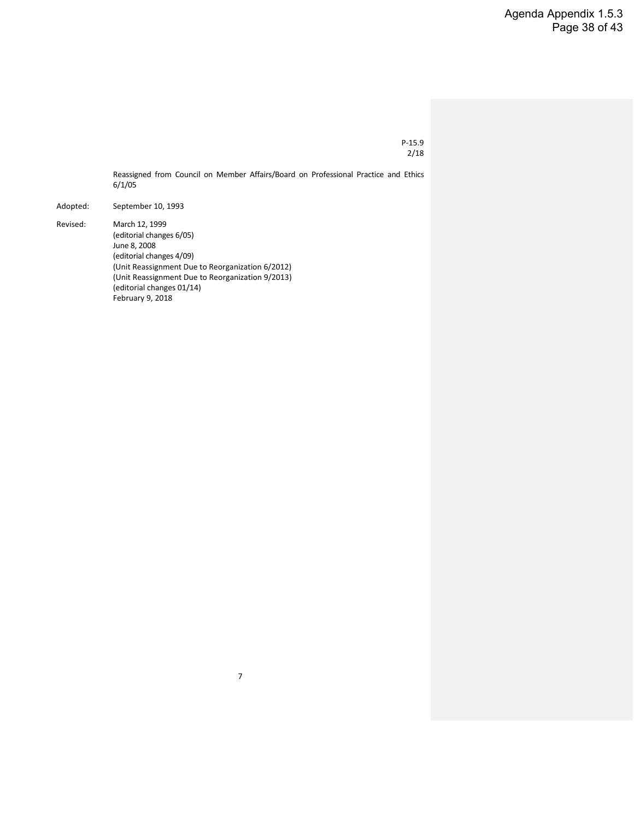Reassigned from Council on Member Affairs/Board on Professional Practice and Ethics 6/1/05

7

Adopted: September 10, 1993

Revised: March 12, 1999 (editorial changes 6/05) June 8, 2008 (editorial changes 4/09) (Unit Reassignment Due to Reorganization 6/2012) (Unit Reassignment Due to Reorganization 9/2013) (editorial changes 01/14) February 9, 2018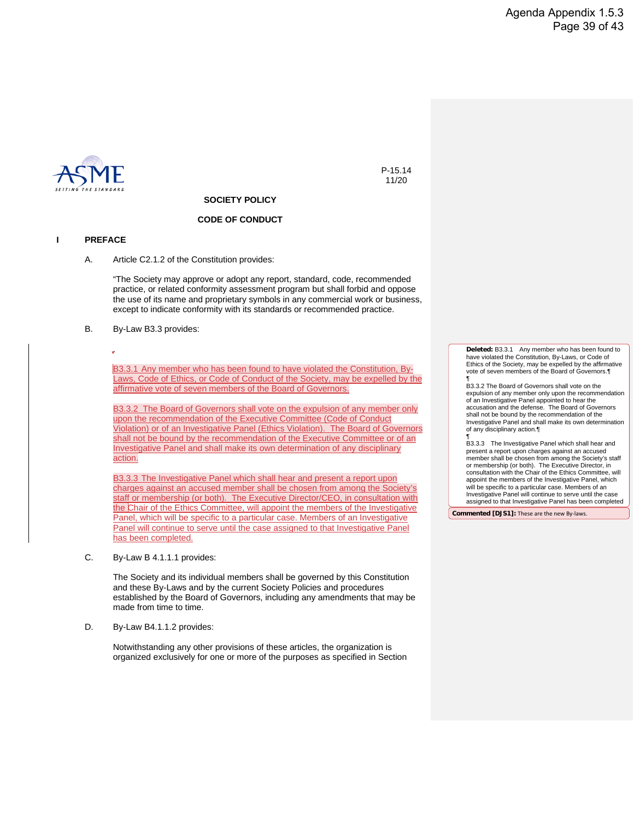

P-15.14 11/20

#### **SOCIETY POLICY**

#### **CODE OF CONDUCT**

#### **I PREFACE**

A. Article C2.1.2 of the Constitution provides:

"The Society may approve or adopt any report, standard, code, recommended practice, or related conformity assessment program but shall forbid and oppose the use of its name and proprietary symbols in any commercial work or business, except to indicate conformity with its standards or recommended practice.

B. By-Law B3.3 provides:

.

B3.3.1 Any member who has been found to have violated the Constitution, By-Laws, Code of Ethics, or Code of Conduct of the Society, may be expelled by the affirmative vote of seven members of the Board of Governors.

B3.3.2 The Board of Governors shall vote on the expulsion of any member only upon the recommendation of the Executive Committee (Code of Conduct Violation) or of an Investigative Panel (Ethics Violation). The Board of Governors shall not be bound by the recommendation of the Executive Committee or of an Investigative Panel and shall make its own determination of any disciplinary action.

B3.3.3 The Investigative Panel which shall hear and present a report upon charges against an accused member shall be chosen from among the Society's staff or membership (or both). The Executive Director/CEO, in consultation with the Chair of the Ethics Committee, will appoint the members of the Investigative Panel, which will be specific to a particular case. Members of an Investigative Panel will continue to serve until the case assigned to that Investigative Panel has been completed.

C. By-Law B 4.1.1.1 provides:

The Society and its individual members shall be governed by this Constitution and these By-Laws and by the current Society Policies and procedures established by the Board of Governors, including any amendments that may be made from time to time.

D. By-Law B4.1.1.2 provides:

Notwithstanding any other provisions of these articles, the organization is organized exclusively for one or more of the purposes as specified in Section **Deleted:** B3.3.1 Any member who has been found to have violated the Constitution, By-Laws, or Code of Ethics of the Society, may be expelled by the affirmative vote of seven members of the Board of Governors.¶

¶ B3.3.2 The Board of Governors shall vote on the expulsion of any member only upon the recommendation of an Investigative Panel appointed to hear the accusation and the defense. The Board of Governors shall not be bound by the recommendation of the Investigative Panel and shall make its own determination of any disciplinary action.¶

¶ B3.3.3 The Investigative Panel which shall hear and present a report upon charges against an accused member shall be chosen from among the Society's staff or membership (or both). The Executive Director, in consultation with the Chair of the Ethics Committee, will appoint the members of the Investigative Panel, which will be specific to a particular case. Members of an Investigative Panel will continue to serve until the case assigned to that Investigative Panel has been completed

**Commented [DJS1]:** These are the new By-laws.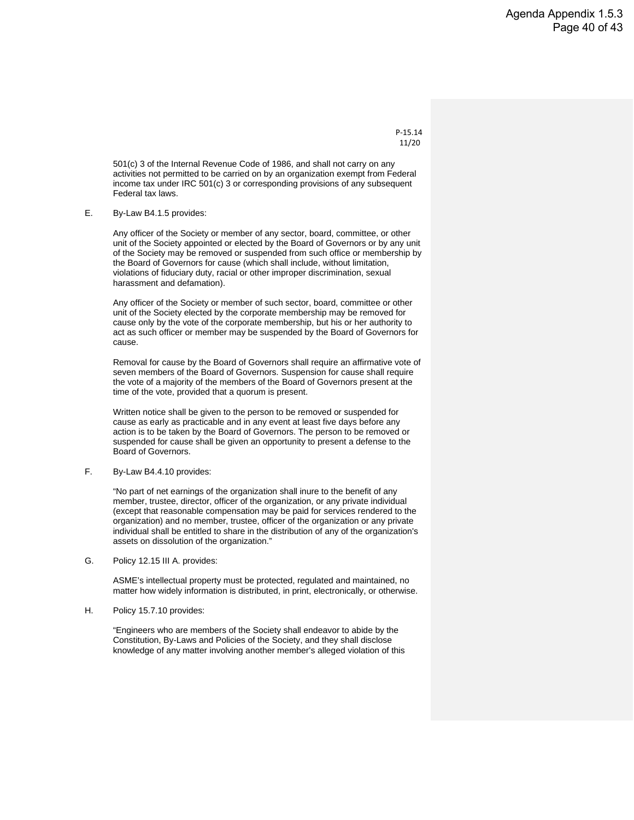P-15.14 11/20

501(c) 3 of the Internal Revenue Code of 1986, and shall not carry on any activities not permitted to be carried on by an organization exempt from Federal income tax under IRC 501(c) 3 or corresponding provisions of any subsequent Federal tax laws.

E. By-Law B4.1.5 provides:

Any officer of the Society or member of any sector, board, committee, or other unit of the Society appointed or elected by the Board of Governors or by any unit of the Society may be removed or suspended from such office or membership by the Board of Governors for cause (which shall include, without limitation, violations of fiduciary duty, racial or other improper discrimination, sexual harassment and defamation).

Any officer of the Society or member of such sector, board, committee or other unit of the Society elected by the corporate membership may be removed for cause only by the vote of the corporate membership, but his or her authority to act as such officer or member may be suspended by the Board of Governors for cause.

Removal for cause by the Board of Governors shall require an affirmative vote of seven members of the Board of Governors. Suspension for cause shall require the vote of a majority of the members of the Board of Governors present at the time of the vote, provided that a quorum is present.

Written notice shall be given to the person to be removed or suspended for cause as early as practicable and in any event at least five days before any action is to be taken by the Board of Governors. The person to be removed or suspended for cause shall be given an opportunity to present a defense to the Board of Governors.

F. By-Law B4.4.10 provides:

"No part of net earnings of the organization shall inure to the benefit of any member, trustee, director, officer of the organization, or any private individual (except that reasonable compensation may be paid for services rendered to the organization) and no member, trustee, officer of the organization or any private individual shall be entitled to share in the distribution of any of the organization's assets on dissolution of the organization."

G. Policy 12.15 III A. provides:

ASME's intellectual property must be protected, regulated and maintained, no matter how widely information is distributed, in print, electronically, or otherwise.

H. Policy 15.7.10 provides:

"Engineers who are members of the Society shall endeavor to abide by the Constitution, By-Laws and Policies of the Society, and they shall disclose knowledge of any matter involving another member's alleged violation of this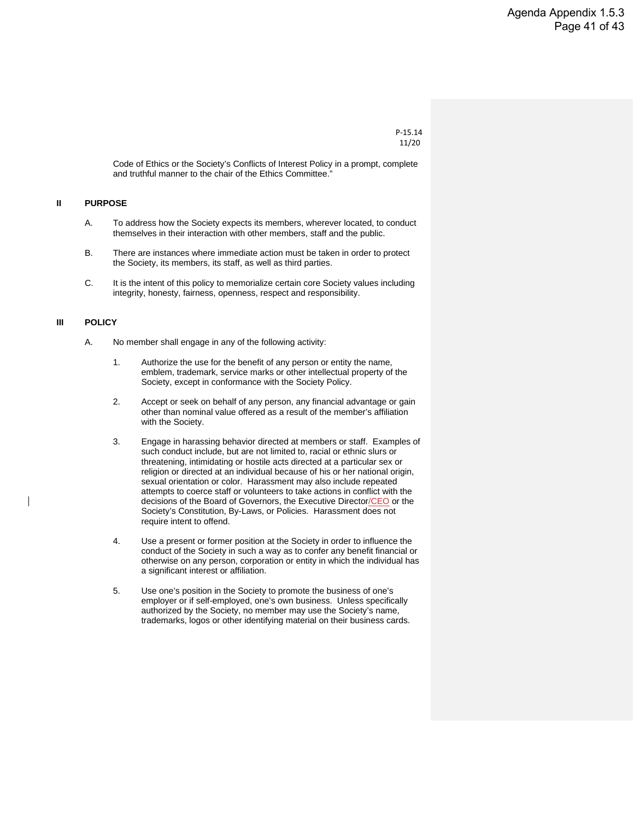```
P-15.14
11/20
```
Code of Ethics or the Society's Conflicts of Interest Policy in a prompt, complete and truthful manner to the chair of the Ethics Committee."

#### **II PURPOSE**

- A. To address how the Society expects its members, wherever located, to conduct themselves in their interaction with other members, staff and the public.
- B. There are instances where immediate action must be taken in order to protect the Society, its members, its staff, as well as third parties.
- C. It is the intent of this policy to memorialize certain core Society values including integrity, honesty, fairness, openness, respect and responsibility.

#### **III POLICY**

- A. No member shall engage in any of the following activity:
	- 1. Authorize the use for the benefit of any person or entity the name, emblem, trademark, service marks or other intellectual property of the Society, except in conformance with the Society Policy.
	- 2. Accept or seek on behalf of any person, any financial advantage or gain other than nominal value offered as a result of the member's affiliation with the Society.
	- 3. Engage in harassing behavior directed at members or staff. Examples of such conduct include, but are not limited to, racial or ethnic slurs or threatening, intimidating or hostile acts directed at a particular sex or religion or directed at an individual because of his or her national origin, sexual orientation or color. Harassment may also include repeated attempts to coerce staff or volunteers to take actions in conflict with the decisions of the Board of Governors, the Executive Director/CEO or the Society's Constitution, By-Laws, or Policies. Harassment does not require intent to offend.
	- 4. Use a present or former position at the Society in order to influence the conduct of the Society in such a way as to confer any benefit financial or otherwise on any person, corporation or entity in which the individual has a significant interest or affiliation.
	- 5. Use one's position in the Society to promote the business of one's employer or if self-employed, one's own business. Unless specifically authorized by the Society, no member may use the Society's name, trademarks, logos or other identifying material on their business cards.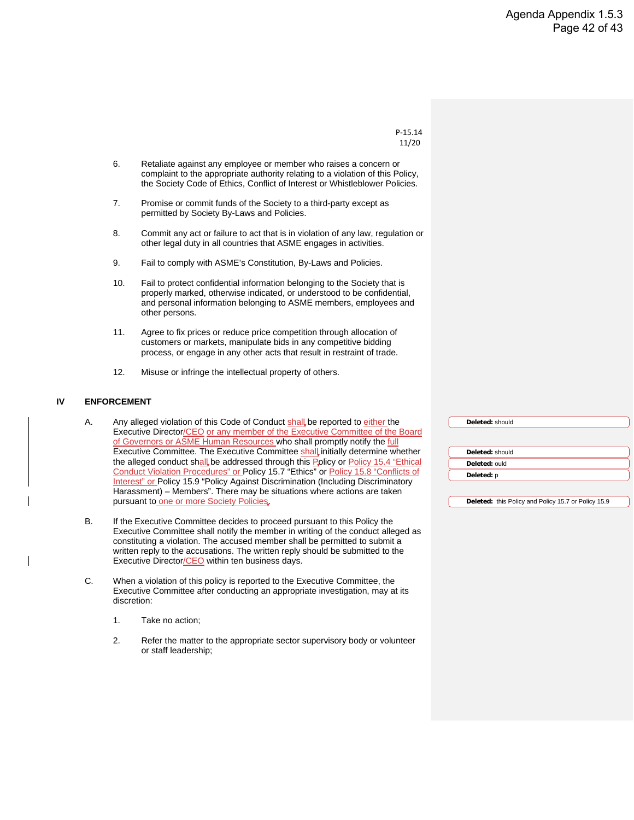```
P-15.14
 11/20
```
- 6. Retaliate against any employee or member who raises a concern or complaint to the appropriate authority relating to a violation of this Policy, the Society Code of Ethics, Conflict of Interest or Whistleblower Policies.
- 7. Promise or commit funds of the Society to a third-party except as permitted by Society By-Laws and Policies.
- 8. Commit any act or failure to act that is in violation of any law, regulation or other legal duty in all countries that ASME engages in activities.
- 9. Fail to comply with ASME's Constitution, By-Laws and Policies.
- 10. Fail to protect confidential information belonging to the Society that is properly marked, otherwise indicated, or understood to be confidential, and personal information belonging to ASME members, employees and other persons.
- 11. Agree to fix prices or reduce price competition through allocation of customers or markets, manipulate bids in any competitive bidding process, or engage in any other acts that result in restraint of trade.
- 12. Misuse or infringe the intellectual property of others.

#### **IV ENFORCEMENT**

- A. Any alleged violation of this Code of Conduct shall be reported to either the Executive Director/CEO or any member of the Executive Committee of the Board of Governors or ASME Human Resources who shall promptly notify the full Executive Committee. The Executive Committee shall initially determine whether the alleged conduct shall be addressed through this Policy or Policy 15.4 "Ethical Conduct Violation Procedures" or Policy 15.7 "Ethics" or Policy 15.8 "Conflicts of Interest" or Policy 15.9 "Policy Against Discrimination (Including Discriminatory Harassment) – Members". There may be situations where actions are taken pursuant to one or more Society Policies
- B. If the Executive Committee decides to proceed pursuant to this Policy the Executive Committee shall notify the member in writing of the conduct alleged as constituting a violation. The accused member shall be permitted to submit a written reply to the accusations. The written reply should be submitted to the Executive Director/CEO within ten business days.
- C. When a violation of this policy is reported to the Executive Committee, the Executive Committee after conducting an appropriate investigation, may at its discretion:
	- 1. Take no action;
	- 2. Refer the matter to the appropriate sector supervisory body or volunteer or staff leadership;

**Deleted:** should **Deleted:** should **Deleted:** ould **Deleted:** p

**Deleted:** this Policy and Policy 15.7 or Policy 15.9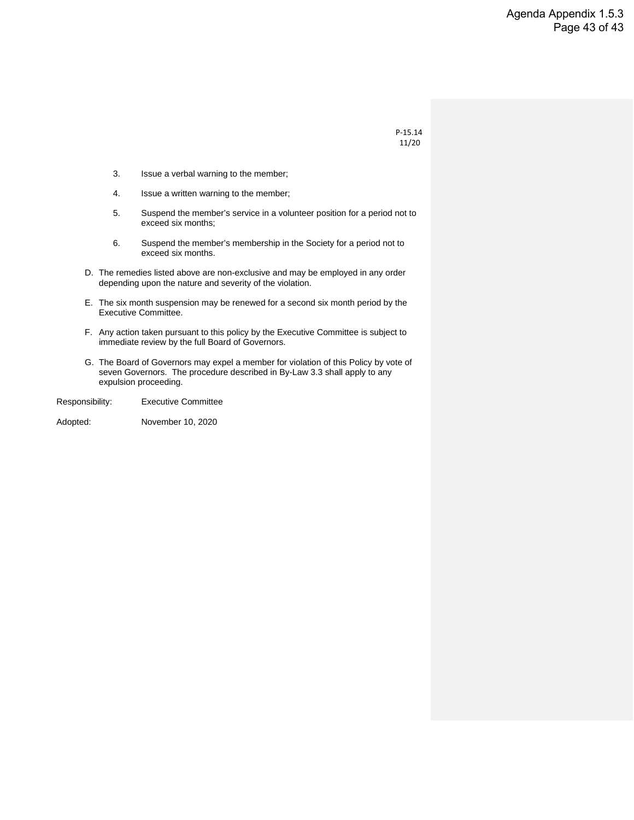P-15.14 11/20

- 3. Issue a verbal warning to the member;
- 4. Issue a written warning to the member;
- 5. Suspend the member's service in a volunteer position for a period not to exceed six months;
- 6. Suspend the member's membership in the Society for a period not to exceed six months.
- D. The remedies listed above are non-exclusive and may be employed in any order depending upon the nature and severity of the violation.
- E. The six month suspension may be renewed for a second six month period by the Executive Committee.
- F. Any action taken pursuant to this policy by the Executive Committee is subject to immediate review by the full Board of Governors.
- G. The Board of Governors may expel a member for violation of this Policy by vote of seven Governors. The procedure described in By-Law 3.3 shall apply to any expulsion proceeding.

Responsibility: Executive Committee

Adopted: November 10, 2020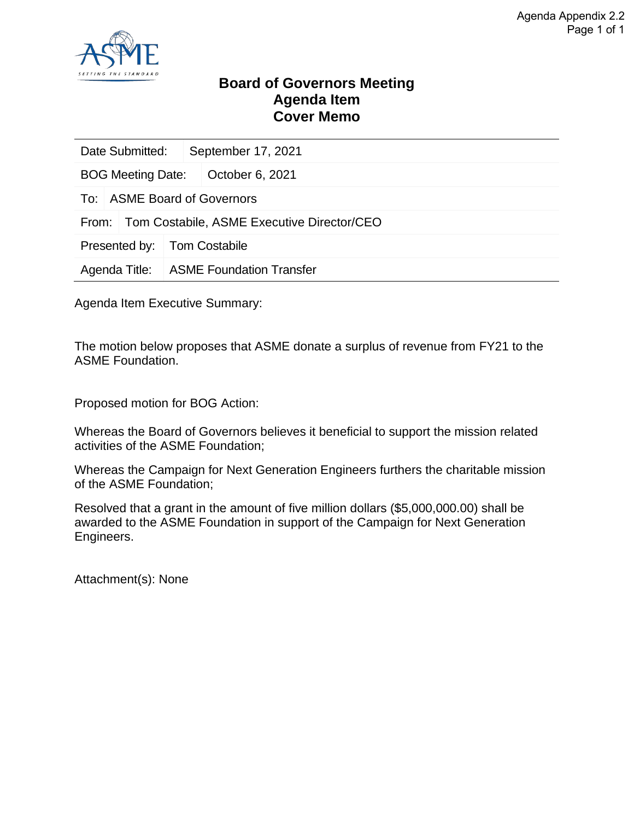

#### **Board of Governors Meeting Agenda Item Cover Memo**

| Date Submitted:             |                                 | September 17, 2021                         |  |  |  |
|-----------------------------|---------------------------------|--------------------------------------------|--|--|--|
| <b>BOG Meeting Date:</b>    |                                 | October 6, 2021                            |  |  |  |
| To: ASME Board of Governors |                                 |                                            |  |  |  |
| From:                       |                                 | Tom Costabile, ASME Executive Director/CEO |  |  |  |
| Presented by:               | <b>Tom Costabile</b>            |                                            |  |  |  |
| Agenda Title:               | <b>ASME Foundation Transfer</b> |                                            |  |  |  |
|                             |                                 |                                            |  |  |  |

Agenda Item Executive Summary:

The motion below proposes that ASME donate a surplus of revenue from FY21 to the ASME Foundation.

Proposed motion for BOG Action:

Whereas the Board of Governors believes it beneficial to support the mission related activities of the ASME Foundation;

Whereas the Campaign for Next Generation Engineers furthers the charitable mission of the ASME Foundation;

Resolved that a grant in the amount of five million dollars (\$5,000,000.00) shall be awarded to the ASME Foundation in support of the Campaign for Next Generation Engineers.

Attachment(s): None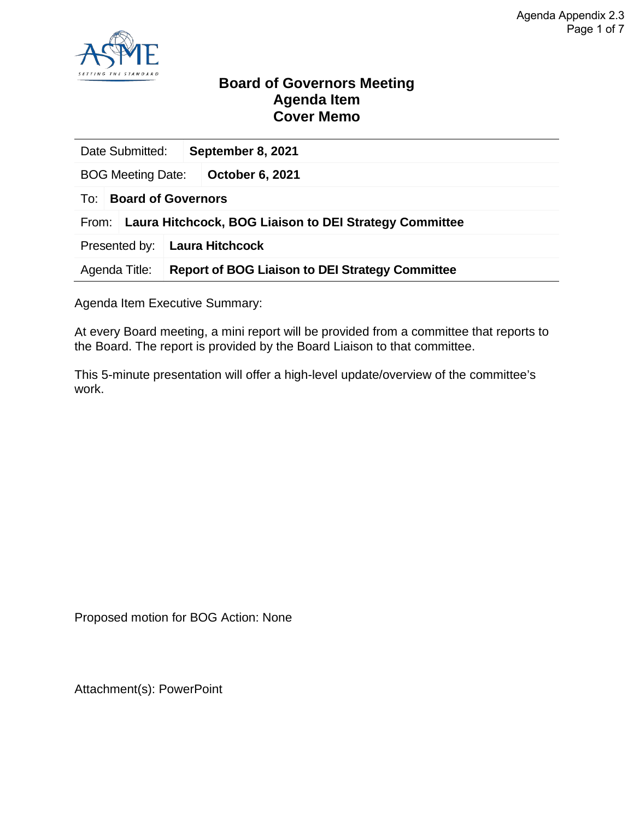

#### **Board of Governors Meeting Agenda Item Cover Memo**

| Date Submitted:                                                 | September 8, 2021                                      |  |  |  |  |  |
|-----------------------------------------------------------------|--------------------------------------------------------|--|--|--|--|--|
| <b>BOG Meeting Date:</b>                                        | October 6, 2021                                        |  |  |  |  |  |
| <b>Board of Governors</b><br>To:                                |                                                        |  |  |  |  |  |
| Laura Hitchcock, BOG Liaison to DEI Strategy Committee<br>From: |                                                        |  |  |  |  |  |
| Presented by:                                                   | <b>Laura Hitchcock</b>                                 |  |  |  |  |  |
| Agenda Title:                                                   | <b>Report of BOG Liaison to DEI Strategy Committee</b> |  |  |  |  |  |

Agenda Item Executive Summary:

At every Board meeting, a mini report will be provided from a committee that reports to the Board. The report is provided by the Board Liaison to that committee.

This 5-minute presentation will offer a high-level update/overview of the committee's work.

Proposed motion for BOG Action: None

Attachment(s): PowerPoint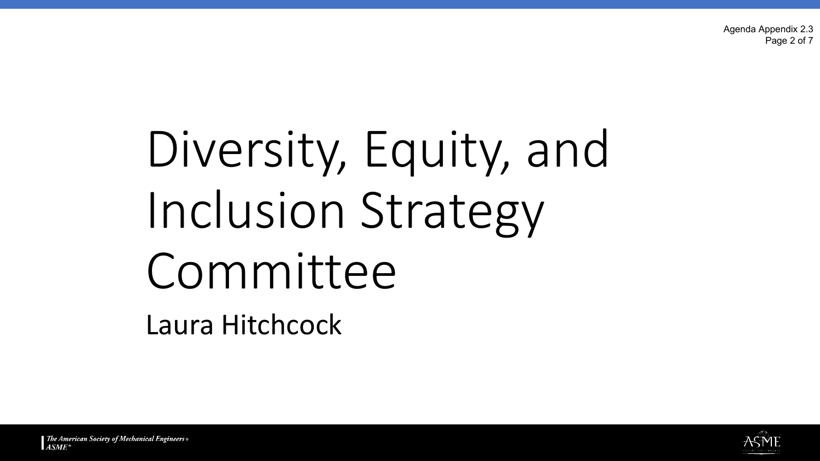Agenda Appendix 2.3 Page 2 of 7

# Diversity, Equity, and Inclusion Strategy Committee Laura Hitchcock

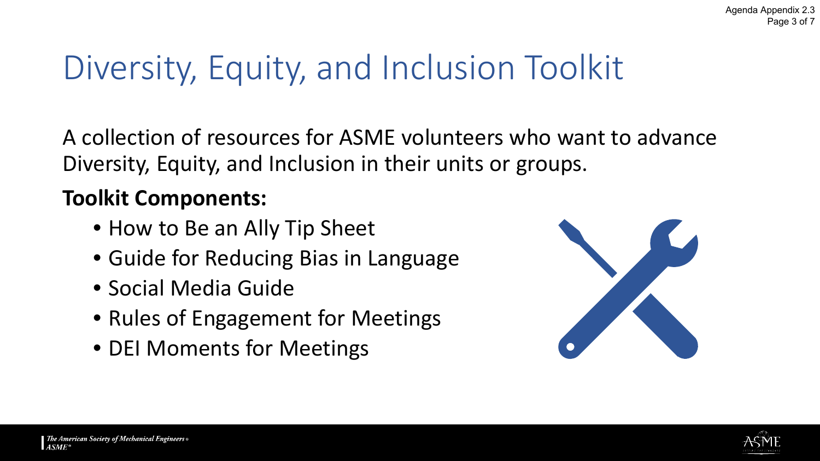# Diversity, Equity, and Inclusion Toolkit

A collection of resources for ASME volunteers who want to advance Diversity, Equity, and Inclusion in their units or groups.

### **Toolkit Components:**

- How to Be an Ally Tip Sheet
- Guide for Reducing Bias in Language
- Social Media Guide
- Rules of Engagement for Meetings
- DEI Moments for Meetings



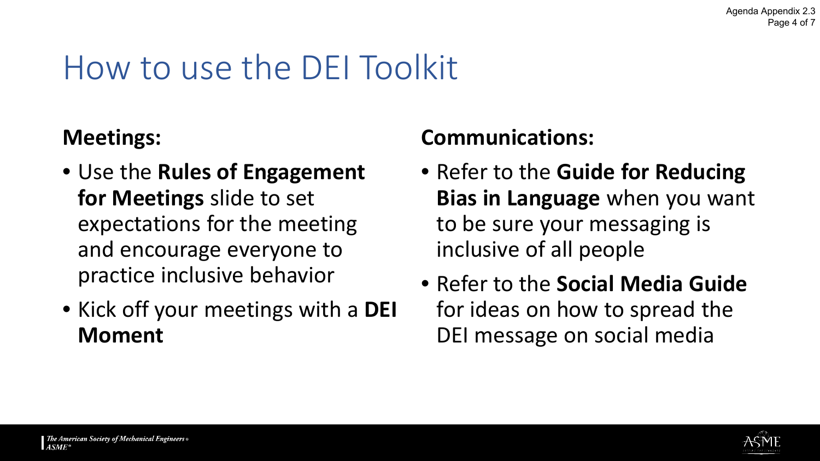# How to use the DEI Toolkit

### **Meetings:**

- Use the **Rules of Engagement for Meetings** slide to set expectations for the meeting and encourage everyone to practice inclusive behavior
- Kick off your meetings with a **DEI Moment**

### **Communications:**

- Refer to the **Guide for Reducing Bias in Language** when you want to be sure your messaging is inclusive of all people
- Refer to the **Social Media Guide** for ideas on how to spread the DEI message on social media

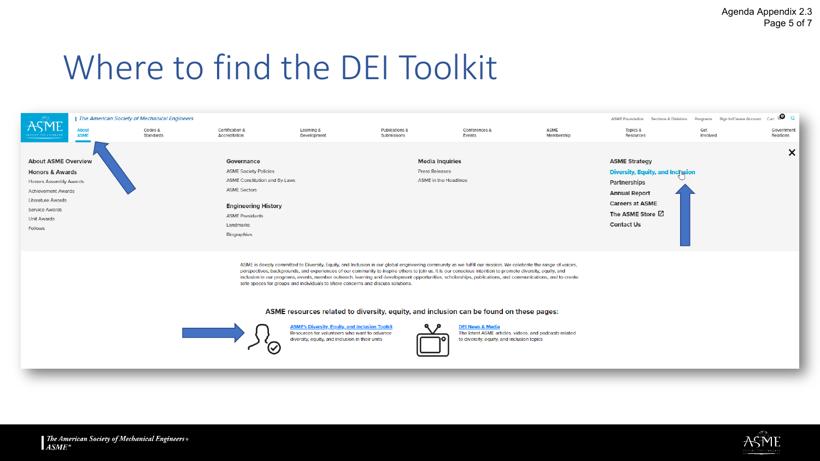### Where to find the DEI Toolkit



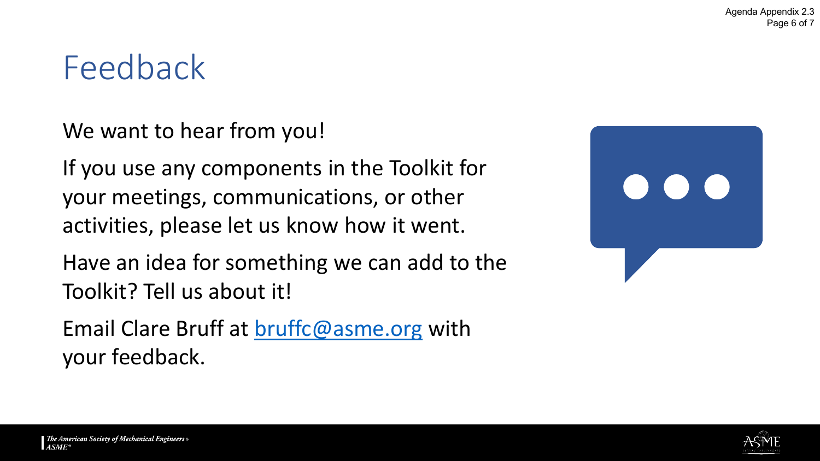### Feedback

We want to hear from you!

If you use any components in the Toolkit for your meetings, communications, or other activities, please let us know how it went.

Have an idea for something we can add to the Toolkit? Tell us about it!

Email Clare Bruff at [bruffc@asme.org](mailto:bruffc@asme.org) with your feedback.



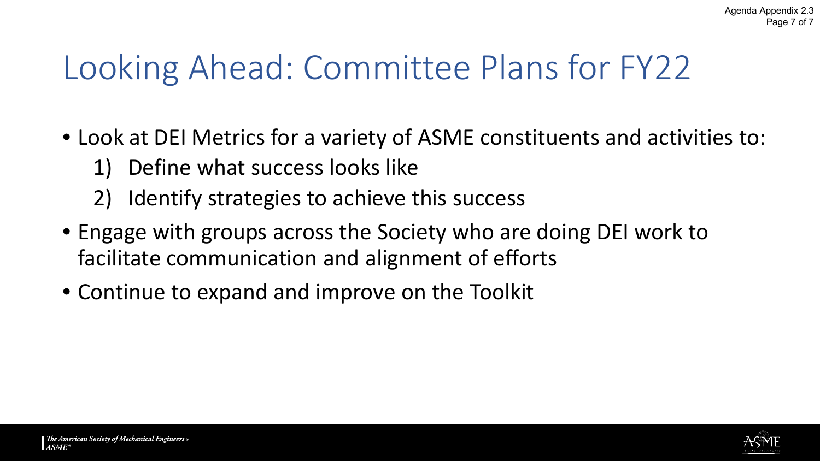# Looking Ahead: Committee Plans for FY22

- Look at DEI Metrics for a variety of ASME constituents and activities to:
	- 1) Define what success looks like
	- 2) Identify strategies to achieve this success
- Engage with groups across the Society who are doing DEI work to facilitate communication and alignment of efforts
- Continue to expand and improve on the Toolkit